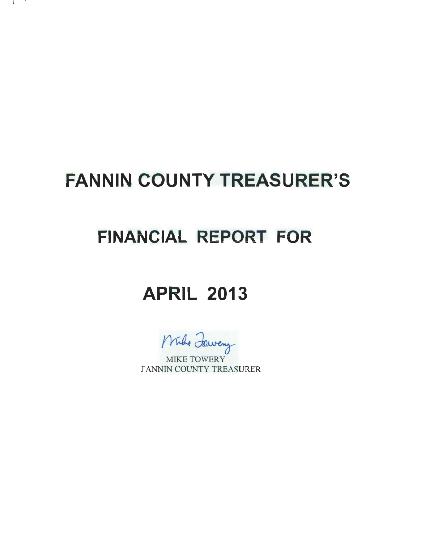# **FANNIN COUNTY TREASURER'S**

- 1

## **FINANCIAL REPORT FOR**

### **APRIL 2013**

Mule Jeweny

FANNIN COUNTY TREASURER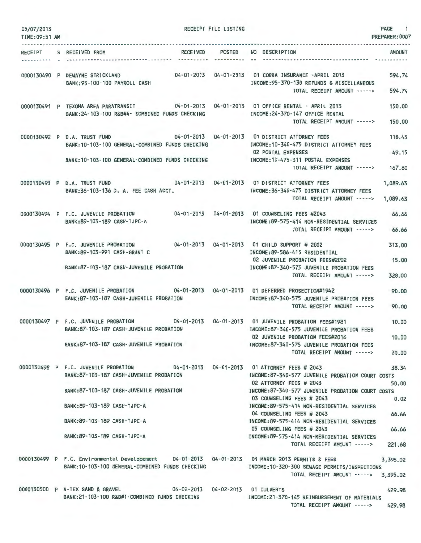| 05/07/2013<br>TIME:09:51 AM |                                                                                                                                                                                                                                                                          | RECEIPT FILE LISTING        |                                                                                                                                                                                                                                                                                                                                                                                                         | PAGE 1<br>PREPARER: 0007                 |
|-----------------------------|--------------------------------------------------------------------------------------------------------------------------------------------------------------------------------------------------------------------------------------------------------------------------|-----------------------------|---------------------------------------------------------------------------------------------------------------------------------------------------------------------------------------------------------------------------------------------------------------------------------------------------------------------------------------------------------------------------------------------------------|------------------------------------------|
| RECEIPT                     | S RECEIVED FROM<br><b>RECEIVED</b>                                                                                                                                                                                                                                       | <b>POSTED</b><br>---------- | NO DESCRIPTION                                                                                                                                                                                                                                                                                                                                                                                          | <b>AMOUNT</b>                            |
|                             | 0000130490 P DEWAYNE STRICKLAND<br>BANK: 95-100-100 PAYROLL CASH                                                                                                                                                                                                         |                             | INCOME: 95-370-130 REFUNDS & MISCELLANEOUS<br>TOTAL RECEIPT AMOUNT ----->                                                                                                                                                                                                                                                                                                                               | 594.74<br>594.74                         |
|                             | 0000130491 P TEXOMA AREA PARATRANSIT 04-01-2013 04-01-2013 01 OFFICE RENTAL - APRIL 2013<br>BANK: 24-103-100 R&B#4- COMBINED FUNDS CHECKING                                                                                                                              |                             | INCOME: 24-370-147 OFFICE RENTAL<br>TOTAL RECEIPT AMOUNT ----->                                                                                                                                                                                                                                                                                                                                         | 150,00<br>150,00                         |
|                             | 0000130492 P D.A. TRUST FUND 04-01-2013 04-01-2013 01 DISTRICT ATTORNEY FEES<br>BANK: 10-103-100 GENERAL-COMBINED FUNDS CHECKING<br>BANK: 10-103-100 GENERAL-COMBINED FUNDS CHECKING                                                                                     |                             | INCOME: 10-340-475 DISTRICT ATTORNEY FEES<br><b>02 POSTAL EXPENSES</b><br>INCOME: 10-475-311 POSTAL EXPENSES<br>TOTAL RECEIPT AMOUNT ----->                                                                                                                                                                                                                                                             | 118.45<br>49.15<br>167.60                |
|                             | 04-01-2013  04-01-2013  01 DISTRICT ATTORNEY FEES<br>0000130493 P D.A. TRUST FUND<br>BANK: 36-103-136 D. A. FEE CASH ACCT.                                                                                                                                               |                             | INCOME: 36-340-475 DISTRICT ATTORNEY FEES<br>TOTAL RECEIPT AMOUNT ----->                                                                                                                                                                                                                                                                                                                                | 1,089.63<br>1,089.63                     |
|                             | 0000130494 P F.C. JUVENILE PROBATION<br>BANK:89-103-189 CASH-TJPC-A                                                                                                                                                                                                      |                             | 04-01-2013  04-01-2013  01 COUNSELING FEES #2043<br>INCOME:89-575-414 NON-RESIDENTIAL SERVICES<br>TOTAL RECEIPT AMOUNT ----->                                                                                                                                                                                                                                                                           | 66,66<br>66.66                           |
|                             | 0000130495 P F.C. JUVENILE PROBATION<br>BANK:89-103-991 CASH-GRANT C<br>BANK:87-103-187 CASH-JUVENILE PROBATION                                                                                                                                                          |                             | INCOME: 89-586-415 RESIDENTIAL<br>02 JUVENILE PROBATION FEES#2002<br>INCOME:87-340-575 JUVENILE PROBATION FEES<br>TOTAL RECEIPT AMOUNT ----->                                                                                                                                                                                                                                                           | 313.00<br>15.00<br>328.00                |
|                             | 0000130496 P F.C. JUVENILE PROBATION 04-01-2013 04-01-2013 01 DEFERRED PROSECTION#1942<br>BANK:87-103-187 CASH-JUVENILE PROBATION                                                                                                                                        |                             | INCOME:87-340-575 JUVENILE PROBATION FEES<br>TOTAL RECEIPT AMOUNT ----->                                                                                                                                                                                                                                                                                                                                | 90.00<br>90.00                           |
|                             | 0000130497 P F.C. JUVENILE PROBATION 04-01-2013 04-01-2013 01 JUVENILE PROBATION FEES#1981<br>BANK: 87-103-187 CASH-JUVENILE PROBATION<br>BANK:87-103-187 CASH-JUVENILE PROBATION                                                                                        |                             | INCOME:87-340-575 JUVENILE PROBATION FEES<br>02 JUVENILE PROBATION FEES#2016<br>INCOME:87-340-575 JUVENILE PROBATION FEES<br>TOTAL RECEIPT AMOUNT ----->                                                                                                                                                                                                                                                | 10,00<br>10.00<br>20,00                  |
|                             | 0000130498 P F.C. JUVENILE PROBATION 04-01-2013 04-01-2013 01 ATTORNEY FEES # 2043<br>BANK: 87-103-187 CASH-JUVENILE PROBATION<br>BANK:87-103-187 CASH-JUVENILE PROBATION<br>BANK: 89-103-189 CASH-TJPC-A<br>BANK: 89-103-189 CASH-TJPC-A<br>BANK:89-103-189 CASH-TJPC-A |                             | INCOME:87-340-577 JUVENILE PROBATION COURT COSTS<br>02 ATTORNEY FEES # 2043<br>INCOME:87-340-577 JUVENILE PROBATION COURT COSTS<br>03 COUNSELING FEES # 2043<br>INCOME: 89-575-414 NON-RESIDENTIAL SERVICES<br>04 COUNSELING FEES # 2043<br>INCOME:89-575-414 NON-RESIDENTIAL SERVICES<br>05 COUNSELING FEES # 2043<br>INCOME:89-575-414 NON-RESIDENTIAL SERVICES<br>TOTAL RECEIPT AMOUNT -----> 221.68 | 38.34<br>50.00<br>0.02<br>66.66<br>66.66 |
|                             | 0000130499 P F.C. Environmental Developement 04-01-2013 04-01-2013 01 MARCH 2013 PERMITS & FEES<br>BANK: 10-103-100 GENERAL-COMBINED FUNDS CHECKING                                                                                                                      |                             | INCOME:10-320-300 SEWAGE PERMITS/INSPECTIONS<br>TOTAL RECEIPT AMOUNT -----> 3,395.02                                                                                                                                                                                                                                                                                                                    | 3,395.02                                 |
|                             | 0000130500 P N-TEX SAND & GRAVEL 04-02-2013 04-02-2013 01 CULVERTS<br>BANK:21-103-100 R&B#1-COMBINED FUNDS CHECKING                                                                                                                                                      |                             | INCOME:21-370-145 REIMBURSEMENT OF MATERIALS<br>TOTAL RECEIPT AMOUNT ----->                                                                                                                                                                                                                                                                                                                             | 429.98<br>429.98                         |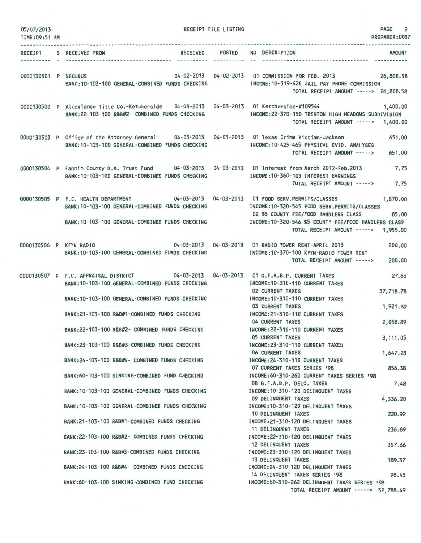| 05/07/2013<br>TIME: 09:51 AM |                                                                                                                                                                  | RECEIPT FILE LISTING        | <b>PAGE</b><br>2<br>PREPARER: 0007                                                                                                                                                                                                                                    |
|------------------------------|------------------------------------------------------------------------------------------------------------------------------------------------------------------|-----------------------------|-----------------------------------------------------------------------------------------------------------------------------------------------------------------------------------------------------------------------------------------------------------------------|
| RECEIPT                      | S RECEIVED FROM<br><b>RECEIVED</b>                                                                                                                               | <b>POSTED</b><br>---------- | NO DESCRIPTION<br><b>AMOUNT</b>                                                                                                                                                                                                                                       |
| 0000130501 P SECURUS         | BANK: 10-103-100 GENERAL-COMBINED FUNDS CHECKING                                                                                                                 |                             | 04-02-2013  04-02-2013  01 COMMISSION FOR FEB. 2013  26,808.58<br>INCOME:10-319-420 JAIL PAY PHONE COMMISSION<br>TOTAL RECEIPT AMOUNT -----> 26,808.58                                                                                                                |
|                              | 0000130502 P Allegiance Title Co.-Ketcherside 04-03-2013 04-03-2013 01 Ketcherside-#109544<br>BANK: 22-103-100 R&B#2- COMBINED FUNDS CHECKING                    |                             | 1,400,00<br>INCOME:22-370-150 TRENTON HIGH MEADOWS SUBDIVISION<br>TOTAL RECEIPT AMOUNT -----> 1,400.00                                                                                                                                                                |
|                              | 0000130503 P Office of the Attorney General 04-03-2013 04-03-2013 01 Texas Crime Victims-Jackson<br>BANK: 10-103-100 GENERAL-COMBINED FUNDS CHECKING             |                             | 651,00<br>INCOME: 10-425-465 PHYSICAL EVID. ANALYSES<br>TOTAL RECEIPT AMOUNT -----><br>651.00                                                                                                                                                                         |
|                              | 0000130504 P Fannin County D.A. Trust Fund 04-03-2013 04-03-2013 01 Interest from March 2012-Feb.2013<br>BANK: 10-103-100 GENERAL-COMBINED FUNDS CHECKING        |                             | 7.75<br>INCOME:10-360-100 INTEREST EARNINGS<br>TOTAL RECEIPT AMOUNT -----><br>7.75                                                                                                                                                                                    |
|                              | 0000130505 P F.C. HEALTH DEPARTMENT<br>BANK: 10-103-100 GENERAL-COMBINED FUNDS CHECKING<br>BANK: 10-103-100 GENERAL-COMBINED FUNDS CHECKING                      |                             | 04-03-2013  04-03-2013  01  FOOD SERV.PERMITS/CLASSES<br>1,870.00<br>INCOME:10-320-545 FOOD SERV.PERMITS/CLASSES<br>02 \$5 COUNTY FEE/FOOD HANDLERS CLASS<br>85.00<br>INCOME:10-320-546 \$5 COUNTY FEE/FOOD HANDLERS CLASS<br>TOTAL RECEIPT AMOUNT -----><br>1,955.00 |
|                              | 0000130506 P KFYN RADIO<br>BANK: 10-103-100 GENERAL-COMBINED FUNDS CHECKING                                                                                      |                             | 04-03-2013  04-03-2013  01 RADIO TOWER RENT-APRIL 2013<br>200,00<br>INCOME: 10-370-100 KFYN-RADIO TOWER RENT<br>TOTAL RECEIPT AMOUNT -----><br>200,00                                                                                                                 |
|                              | 0000130507 P F.C. APPRAISAL DISTRICT<br>$04 - 03 - 2013$<br>BANK: 10-103-100 GENERAL-COMBINED FUNDS CHECKING<br>BANK: 10-103-100 GENERAL-COMBINED FUNDS CHECKING | $04 - 03 - 2013$            | 01 G.F.A.B.P. CURRENT TAXES<br>27.65<br>INCOME: 10-310-110 CURRENT TAXES<br><b>02 CURRENT TAXES</b><br>37,718.78<br>INCOME: 10-310-110 CURRENT TAXES                                                                                                                  |
|                              | BANK:21-103-100 R&B#1-COMBINED FUNDS CHECKING                                                                                                                    |                             | 03 CURRENT TAXES<br>1,921.69<br>INCOME:21-310-110 CURRENT TAXES                                                                                                                                                                                                       |
|                              | BANK:22-103-100 R&B#2- COMBINED FUNDS CHECKING                                                                                                                   |                             | 04 CURRENT TAXES<br>2,058.89<br>INCOME: 22-310-110 CURRENT TAXES<br><b>05 CURRENT TAXES</b><br>3,111.05                                                                                                                                                               |
|                              | BANK:23-103-100 R&B#3-COMBINED FUNDS CHECKING                                                                                                                    |                             | INCOME: 23-310-110 CURRENT TAXES<br>06 CURRENT TAXES<br>1,647.28                                                                                                                                                                                                      |
|                              | BANK:24-103-100 R&B#4- COMBINED FUNDS CHECKING<br>BANK:60-103-100 SINKING-COMBINED FUND CHECKING                                                                 |                             | INCOME: 24-310-110 CURRENT TAXES<br>07 CURRENT TAXES SERIES 198<br>856.38<br>INCOME:60-310-260 CURRENT TAXES SERIES '98                                                                                                                                               |
|                              | BANK: 10-103-100 GENERAL-COMBINED FUNDS CHECKING                                                                                                                 |                             | 08 G.F.A.B.P. DELQ. TAXES<br>7,48<br>INCOME: 10-310-120 DELINQUENT TAXES                                                                                                                                                                                              |
|                              | BANK: 10-103-100 GENERAL-COMBINED FUNDS CHECKING                                                                                                                 |                             | 09 DELINQUENT TAXES<br>4,336.20<br>INCOME: 10-310-120 DELINQUENT TAXES                                                                                                                                                                                                |
|                              | BANK:21-103-100 R&B#1-COMBINED FUNDS CHECKING                                                                                                                    |                             | 10 DELINQUENT TAXES<br>220,92<br>INCOME: 21-310-120 DELINQUENT TAXES                                                                                                                                                                                                  |
|                              | BANK:22-103-100 R&B#2- COMBINED FUNDS CHECKING                                                                                                                   |                             | 11 DELINQUENT TAXES<br>236.69<br>INCOME: 22-310-120 DELINQUENT TAXES<br>12 DELINQUENT TAXES<br>357.66                                                                                                                                                                 |
|                              | BANK:23-103-100 R&B#3-COMBINED FUNDS CHECKING                                                                                                                    |                             | INCOME:23-310-120 DELINQUENT TAXES<br>13 DELINQUENT TAXES<br>189.37                                                                                                                                                                                                   |
|                              | BANK:24-103-100 R&B#4- COMBINED FUNDS CHECKING                                                                                                                   |                             | INCOME: 24-310-120 DELINQUENT TAXES<br>14 DELINQUENT TAXES SERIES '98<br>98.45                                                                                                                                                                                        |
|                              | BANK:60-103-100 SINKING-COMBINED FUND CHECKING                                                                                                                   |                             | INCOME:60-310-262 DELINQUENT TAXES SERIES '98<br>TOTAL RECEIPT AMOUNT -----> 52,788.49                                                                                                                                                                                |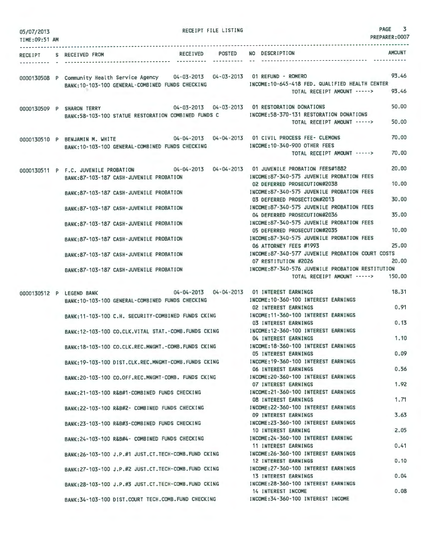| 05/07/2013<br>TIME: 09:51 AM | RECEIPT FILE LISTING                                                                                                                       | PAGE<br>3<br>PREPARER: 0007                                                                                                                   |
|------------------------------|--------------------------------------------------------------------------------------------------------------------------------------------|-----------------------------------------------------------------------------------------------------------------------------------------------|
| RECEIPT                      | POSTED<br><b>RECEIVED</b><br>S RECEIVED FROM                                                                                               | <b>AMOUNT</b><br>NO DESCRIPTION                                                                                                               |
|                              |                                                                                                                                            |                                                                                                                                               |
|                              | 0000130508 P Community Health Service Agency 04-03-2013 04-03-2013 01 REFUND - ROMERO<br>BANK: 10-103-100 GENERAL-COMBINED FUNDS CHECKING  | 93.46<br>INCOME:10-645-418 FED, QUALIFIED HEALTH CENTER<br>93,46<br>TOTAL RECEIPT AMOUNT ----->                                               |
|                              | 0000130509 P SHARON TERRY<br>BANK:58-103-100 STATUE RESTORATION COMBINED FUNDS C                                                           | 50.00<br>04-03-2013  04-03-2013  01 RESTORATION DONATIONS<br>INCOME: 58-370-131 RESTORATION DONATIONS<br>50.00<br>TOTAL RECEIPT AMOUNT -----> |
|                              |                                                                                                                                            |                                                                                                                                               |
|                              | 0000130510 P BENJAMIN M. WHITE<br>BANK: 10-103-100 GENERAL-COMBINED FUNDS CHECKING                                                         | 70.00<br>04-04-2013  04-04-2013  01 CIVIL PROCESS FEE- CLEMONS<br>INCOME: 10-340-900 OTHER FEES<br>70,00<br>TOTAL RECEIPT AMOUNT ----->       |
|                              |                                                                                                                                            |                                                                                                                                               |
|                              | 04-04-2013  04-04-2013  01 JUVENILE PROBATION FEES#1882<br>0000130511 P F.C. JUVENILE PROBATION<br>BANK:87-103-187 CASH-JUVENILE PROBATION | 20,00<br>INCOME:87-340-575 JUVENILE PROBATION FEES<br>10.00<br>02 DEFERRED PROSECUTION#2038                                                   |
|                              | BANK: 87-103-187 CASH-JUVENILE PROBATION                                                                                                   | INCOME:87-340-575 JUVENILE PROBATION FEES<br>30.00<br>03 DEFERRED PROSECTION#2013                                                             |
|                              | BANK: 87-103-187 CASH-JUVENILE PROBATION                                                                                                   | INCOME:87-340-575 JUVENILE PROBATION FEES<br>35.00<br>04 DEFERRED PROSECUTION#2036                                                            |
|                              | BANK: 87-103-187 CASH-JUVENILE PROBATION                                                                                                   | INCOME:87-340-575 JUVENILE PROBATION FEES<br>10.00<br>05 DEFERRED PROSECUTION#2035                                                            |
|                              | BANK:87-103-187 CASH-JUVENILE PROBATION                                                                                                    | INCOME:87-340-575 JUVENILE PROBATION FEES<br>25.00<br>06 ATTORNEY FEES #1993                                                                  |
|                              | BANK:87-103-187 CASH-JUVENILE PROBATION                                                                                                    | INCOME:87-340-577 JUVENILE PROBATION COURT COSTS<br>20.00<br>07 RESTITUTION #2026                                                             |
|                              | BANK: 87-103-187 CASH-JUVENILE PROBATION                                                                                                   | INCOME:87-340-576 JUVENILE PROBATION RESTITUTION<br>150.00<br>TOTAL RECEIPT AMOUNT ----->                                                     |
|                              | $04 - 04 - 2013$ $04 - 04 - 2013$<br>0000130512 P LEGEND BANK                                                                              | 18.31<br>01 INTEREST EARNINGS                                                                                                                 |
|                              | BANK: 10-103-100 GENERAL-COMBINED FUNDS CHECKING                                                                                           | INCOME: 10-360-100 INTEREST EARNINGS<br>0.91<br><b>02 INTEREST EARNINGS</b>                                                                   |
|                              | BANK: 11-103-100 C.H. SECURITY-COMBINED FUNDS CKING                                                                                        | INCOME: 11-360-100 INTEREST EARNINGS<br>0.13<br>03 INTEREST EARNINGS                                                                          |
|                              | BANK:12-103-100 CO.CLK.VITAL STAT.-COMB.FUNDS CKING                                                                                        | INCOME:12-360-100 INTEREST EARNINGS<br>1,10<br>04 INTEREST EARNINGS                                                                           |
|                              | BANK: 18-103-100 CO.CLK.REC.MNGMT.-COMB.FUNDS CKING                                                                                        | INCOME: 18-360-100 INTEREST EARNINGS<br>0.09<br>05 INTEREST EARNINGS                                                                          |
|                              | BANK: 19-103-100 DIST.CLK.REC.MNGMT-COMB.FUNDS CKING                                                                                       | INCOME: 19-360-100 INTEREST EARNINGS                                                                                                          |
|                              | BANK:20-103-100 CO.OFF.REC.MNGMT-COMB. FUNDS CKING                                                                                         | 0.56<br>06 INTEREST EARNINGS<br>INCOME: 20-360-100 INTEREST EARNINGS                                                                          |
|                              | BANK:21-103-100 R&B#1-COMBINED FUNDS CHECKING                                                                                              | 1.92<br><b>07 INTEREST EARNINGS</b><br>INCOME: 21-360-100 INTEREST EARNINGS                                                                   |
|                              | BANK: 22-103-100 R&B#2- COMBINED FUNDS CHECKING                                                                                            | 1.71<br><b>08 INTEREST EARNINGS</b><br>INCOME: 22-360-100 INTEREST EARNINGS                                                                   |
|                              | BANK:23-103-100 R&B#3-COMBINED FUNDS CHECKING                                                                                              | 3.63<br>09 INTEREST EARNINGS<br>INCOME: 23-360-100 INTEREST EARNINGS                                                                          |
|                              |                                                                                                                                            | 2.05<br>10 INTEREST EARNING                                                                                                                   |
|                              | BANK: 24-103-100 R&B#4- COMBINED FUNDS CHECKING                                                                                            | INCOME: 24-360-100 INTEREST EARNING<br>0.41<br><b>11 INTEREST EARNINGS</b>                                                                    |
|                              | BANK: 26-103-100 J.P.#1 JUST.CT. TECH-COMB. FUND CKING                                                                                     | INCOME: 26-360-100 INTEREST EARNINGS<br>0.10<br>12 INTEREST EARNINGS                                                                          |
|                              | BANK: 27-103-100 J.P.#2 JUST.CT. TECH-COMB. FUND CKING                                                                                     | INCOME: 27-360-100 INTEREST EARNINGS<br>0.04<br>13 INTEREST EARNINGS                                                                          |
|                              | BANK: 28-103-100 J.P.#3 JUST.CT. TECH-COMB. FUND CKING                                                                                     | INCOME: 28-360-100 INTEREST EARNINGS<br>0.08<br>14 INTEREST INCOME                                                                            |
|                              | BANK: 34-103-100 DIST.COURT TECH.COMB.FUND CHECKING                                                                                        | INCOME: 34-360-100 INTEREST INCOME                                                                                                            |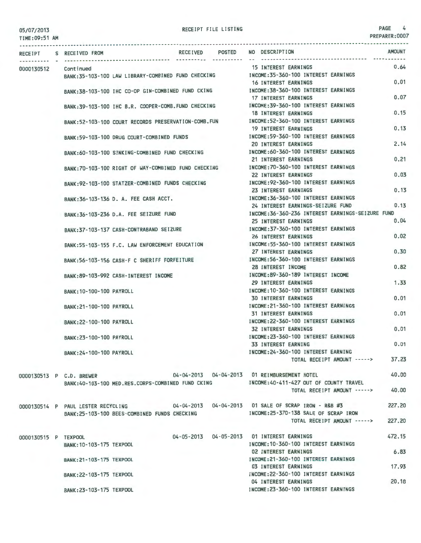05/07/2013 TIME:09:51 AM RECEIPT FILE LISTING PAGE 4

| <b>RECEIPT</b>       | S RECEIVED FROM                                                       |                                                    | RECEIVED POSTED |  | NO DESCRIPTION                                         | <b>AMOUNT</b> |
|----------------------|-----------------------------------------------------------------------|----------------------------------------------------|-----------------|--|--------------------------------------------------------|---------------|
|                      |                                                                       |                                                    |                 |  | 15 INTEREST EARNINGS                                   | 0.64          |
| 0000130512           | Continued                                                             |                                                    |                 |  | INCOME: 35-360-100 INTEREST EARNINGS                   |               |
|                      |                                                                       | BANK:35-103-100 LAW LIBRARY-COMBINED FUND CHECKING |                 |  | <b>16 INTEREST EARNINGS</b>                            | 0.01          |
|                      |                                                                       | BANK:38-103-100 IHC CO-OP GIN-COMBINED FUND CKING  |                 |  | INCOME: 38-360-100 INTEREST EARNINGS                   |               |
|                      |                                                                       |                                                    |                 |  | <b>17 INTEREST EARNINGS</b>                            | 0.07          |
|                      |                                                                       |                                                    |                 |  | INCOME: 39-360-100 INTEREST EARNINGS                   |               |
|                      | BANK:39-103-100 IHC B.R. COOPER-COMB. FUND CHECKING                   |                                                    |                 |  | <b>18 INTEREST EARNINGS</b>                            | 0.15          |
|                      |                                                                       |                                                    |                 |  | INCOME: 52-360-100 INTEREST EARNINGS                   |               |
|                      | BANK:52-103-100 COURT RECORDS PRESERVATION-COMB. FUN                  |                                                    |                 |  | <b>19 INTEREST EARNINGS</b>                            | 0.13          |
|                      | BANK: 59-103-100 DRUG COURT-COMBINED FUNDS                            |                                                    |                 |  | INCOME: 59-360-100 INTEREST EARNINGS                   |               |
|                      |                                                                       |                                                    |                 |  | <b>20 INTEREST EARNINGS</b>                            | 2.14          |
|                      | BANK:60-103-100 SINKING-COMBINED FUND CHECKING                        |                                                    |                 |  | INCOME:60-360-100 INTEREST EARNINGS                    |               |
|                      |                                                                       |                                                    |                 |  | 21 INTEREST EARNINGS                                   | 0.21          |
|                      | BANK:70-103-100 RIGHT OF WAY-COMBINED FUND CHECKING                   |                                                    |                 |  | INCOME: 70-360-100 INTEREST EARNINGS                   |               |
|                      |                                                                       |                                                    |                 |  | <b>22 INTEREST EARNINGS</b>                            | 0.03          |
|                      | BANK:92-103-100 STATZER-COMBINED FUNDS CHECKING                       |                                                    |                 |  | INCOME: 92-360-100 INTEREST EARNINGS                   |               |
|                      |                                                                       |                                                    |                 |  | 23 INTEREST EARNINGS                                   | 0.13          |
|                      | BANK:36-103-136 D. A. FEE CASH ACCT.                                  |                                                    |                 |  | INCOME: 36-360-100 INTEREST EARNINGS                   |               |
|                      |                                                                       |                                                    |                 |  | 24 INTEREST EARNINGS-SEIZURE FUND                      | 0.13          |
|                      | BANK: 36-103-236 D.A. FEE SEIZURE FUND                                |                                                    |                 |  | INCOME: 36-360-236 INTEREST EARNINGS-SEIZURE FUND      |               |
|                      |                                                                       |                                                    |                 |  | 25 INTEREST EARNINGS                                   | 0.04          |
|                      | BANK: 37-103-137 CASH-CONTRABAND SEIZURE                              |                                                    |                 |  | INCOME: 37-360-100 INTEREST EARNINGS                   |               |
|                      |                                                                       |                                                    |                 |  | 26 INTEREST EARNINGS                                   | 0.02          |
|                      | BANK:55-103-155 F.C. LAW ENFORCEMENT EDUCATION                        |                                                    |                 |  | INCOME: 55-360-100 INTEREST EARNINGS                   |               |
|                      |                                                                       |                                                    |                 |  | 27 INTEREST EARNINGS                                   | 0.30          |
|                      | BANK: 56-103-156 CASH-F C SHERIFF FORFEITURE                          |                                                    |                 |  | INCOME: 56-360-100 INTEREST EARNINGS                   |               |
|                      |                                                                       |                                                    |                 |  | 28 INTEREST INCOME                                     | 0.82          |
|                      | BANK:89-103-992 CASH-INTEREST INCOME                                  |                                                    |                 |  | INCOME:89-360-189 INTEREST INCOME                      |               |
|                      |                                                                       |                                                    |                 |  | 29 INTEREST EARNINGS                                   | 1.33          |
|                      | BANK: 10-100-100 PAYROLL                                              |                                                    |                 |  | INCOME: 10-360-100 INTEREST EARNINGS                   |               |
|                      |                                                                       |                                                    |                 |  | <b>30 INTEREST EARNINGS</b>                            | 0.01          |
|                      | BANK: 21-100-100 PAYROLL                                              |                                                    |                 |  | INCOME: 21-360-100 INTEREST EARNINGS                   |               |
|                      |                                                                       |                                                    |                 |  | <b>31 INTEREST EARNINGS</b>                            | 0.01          |
|                      | BANK: 22-100-100 PAYROLL                                              |                                                    |                 |  | INCOME: 22-360-100 INTEREST EARNINGS                   |               |
|                      |                                                                       |                                                    |                 |  | <b>32 INTEREST EARNINGS</b>                            | 0.01          |
|                      | BANK: 23-100-100 PAYROLL                                              |                                                    |                 |  | INCOME: 23-360-100 INTEREST EARNINGS                   |               |
|                      |                                                                       |                                                    |                 |  | <b>33 INTEREST EARNING</b>                             | 0.01          |
|                      | BANK: 24-100-100 PAYROLL                                              |                                                    |                 |  | INCOME: 24-360-100 INTEREST EARNING                    |               |
|                      |                                                                       |                                                    |                 |  | TOTAL RECEIPT AMOUNT ----->                            | 37.23         |
|                      |                                                                       |                                                    |                 |  |                                                        |               |
|                      | 0000130513 P C.D. BREWER 04-04-2013 04-04-2013 01 REIMBURSEMENT HOTEL |                                                    |                 |  |                                                        | 40.00         |
|                      | BANK:40-103-100 MED.RES.CORPS-COMBINED FUND CKING                     |                                                    |                 |  | INCOME:40-411-427 OUT OF COUNTY TRAVEL                 |               |
|                      |                                                                       |                                                    |                 |  | TOTAL RECEIPT AMOUNT ----->                            | 40.00         |
|                      |                                                                       |                                                    |                 |  |                                                        |               |
|                      | 0000130514 P PAUL LESTER RECYCLING                                    |                                                    |                 |  | 04-04-2013  04-04-2013  01 SALE OF SCRAP IRON - R&B #3 | 227.20        |
|                      | BANK:25-103-100 BEES-COMBINED FUNDS CHECKING                          |                                                    |                 |  | INCOME: 25-370-138 SALE OF SCRAP IRON                  |               |
|                      |                                                                       |                                                    |                 |  | TOTAL RECEIPT AMOUNT ----->                            | 227.20        |
|                      |                                                                       |                                                    |                 |  |                                                        |               |
| 0000130515 P TEXPOOL |                                                                       |                                                    |                 |  | 04-05-2013  04-05-2013  01 INTEREST EARNINGS           | 472.15        |
|                      | BANK: 10-103-175 TEXPOOL                                              |                                                    |                 |  | INCOME: 10-360-100 INTEREST EARNINGS                   |               |
|                      |                                                                       |                                                    |                 |  | <b>02 INTEREST EARNINGS</b>                            | 6.83          |
|                      | BANK: 21-103-175 TEXPOOL                                              |                                                    |                 |  | INCOME: 21-360-100 INTEREST EARNINGS                   |               |
|                      |                                                                       |                                                    |                 |  | 03 INTEREST EARNINGS                                   | 17.93         |
|                      | BANK: 22-103-175 TEXPOOL                                              |                                                    |                 |  | INCOME: 22-360-100 INTEREST EARNINGS                   |               |
|                      |                                                                       |                                                    |                 |  | 04 INTEREST EARNINGS                                   | 20.18         |
|                      | BANK: 23-103-175 TEXPOOL                                              |                                                    |                 |  | INCOME: 23-360-100 INTEREST EARNINGS                   |               |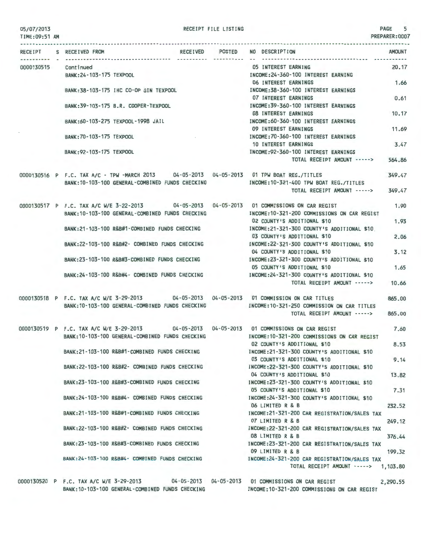TIME:09:51 AM

|  | RECEIPT S RECEIVED FROM                                                                    | RECEIVED POSTED NO DESCRIPTION                                                              | <b>AMOUNT</b> |
|--|--------------------------------------------------------------------------------------------|---------------------------------------------------------------------------------------------|---------------|
|  | 0000130515 Continued                                                                       | 05 INTEREST EARNING                                                                         | 20.17         |
|  | BANK: 24-103-175 TEXPOOL                                                                   | INCOME: 24-360-100 INTEREST EARNING                                                         |               |
|  |                                                                                            | 06 INTEREST EARNINGS                                                                        | 1.66          |
|  | BANK: 38-103-175 IHC CO-OP GIN TEXPOOL                                                     | INCOME: 38-360-100 INTEREST EARNINGS                                                        |               |
|  |                                                                                            | 07 INTEREST EARNINGS                                                                        | 0.61          |
|  | BANK: 39-103-175 B.R. COOPER-TEXPOOL                                                       | INCOME: 39-360-100 INTEREST EARNINGS<br><b>08 INTEREST EARNINGS</b>                         | 10.17         |
|  | BANK:60-103-275 TEXPOOL-1998 JAIL                                                          | INCOME: 60-360-100 INTEREST EARNINGS                                                        |               |
|  |                                                                                            | 09 INTEREST EARNINGS                                                                        | 11.69         |
|  | BANK: 70-103-175 TEXPOOL                                                                   | INCOME: 70-360-100 INTEREST EARNINGS                                                        |               |
|  |                                                                                            | <b>10 INTEREST EARNINGS</b>                                                                 | 3.47          |
|  | BANK: 92-103-175 TEXPOOL                                                                   | INCOME: 92-360-100 INTEREST EARNINGS                                                        |               |
|  |                                                                                            | TOTAL RECEIPT AMOUNT ----->                                                                 | 564.86        |
|  | 0000130516 P F.C. TAX A/C - TPW -MARCH 2013 04-05-2013 04-05-2013 01 TPW BOAT REG./TITLES  |                                                                                             | 349.47        |
|  | BANK: 10-103-100 GENERAL-COMBINED FUNDS CHECKING                                           | INCOME: 10-321-400 TPW BOAT REG./TITLES                                                     |               |
|  |                                                                                            | TOTAL RECEIPT AMOUNT ----->                                                                 | 349.47        |
|  | 0000130517 P F.C. TAX A/C W/E 3-22-2013 04-05-2013 04-05-2013 01 COMMISSIONS ON CAR REGIST |                                                                                             | 1,90          |
|  | BANK: 10-103-100 GENERAL-COMBINED FUNDS CHECKING                                           | INCOME: 10-321-200 COMMISSIONS ON CAR REGIST                                                |               |
|  |                                                                                            | 02 COUNTY'S ADDITIONAL \$10                                                                 | 1.93          |
|  | BANK: 21-103-100 R&B#1-COMBINED FUNDS CHECKING                                             | INCOME:21-321-300 COUNTY'S ADDITIONAL \$10<br>03 COUNTY'S ADDITIONAL \$10                   | 2.06          |
|  | BANK:22-103-100 R&B#2- COMBINED FUNDS CHECKING                                             | INCOME: 22-321-300 COUNTY'S ADDITIONAL \$10                                                 |               |
|  |                                                                                            | 04 COUNTY'S ADDITIONAL \$10                                                                 | 3.12          |
|  | BANK:23-103-100 R&B#3-COMBINED FUNDS CHECKING                                              | INCOME:23-321-300 COUNTY'S ADDITIONAL \$10                                                  |               |
|  |                                                                                            | 05 COUNTY'S ADDITIONAL \$10                                                                 | 1.65          |
|  | BANK:24-103-100 R&B#4- COMBINED FUNDS CHECKING                                             | INCOME: 24-321-300 COUNTY'S ADDITIONAL \$10                                                 |               |
|  |                                                                                            | TOTAL RECEIPT AMOUNT ----->                                                                 | 10.66         |
|  | 0000130518 P F.C. TAX A/C W/E 3-29-2013 04-05-2013 04-05-2013 01 COMMISSION ON CAR TITLES  |                                                                                             | 865.00        |
|  | BANK: 10-103-100 GENERAL-COMBINED FUNDS CHECKING                                           | INCOME: 10-321-250 COMMISSION ON CAR TITLES                                                 |               |
|  |                                                                                            | TOTAL RECEIPT AMOUNT ----->                                                                 | 865,00        |
|  | 0000130519 P F.C. TAX A/C W/E 3-29-2013 04-05-2013 04-05-2013 01 COMMISSIONS ON CAR REGIST |                                                                                             | 7.60          |
|  |                                                                                            | BANK:10-103-100 GENERAL-COMBINED FUNDS CHECKING MOTHER:10-321-200 COMMISSIONS ON CAR REGIST |               |
|  |                                                                                            | 02 COUNTY'S ADDITIONAL \$10                                                                 | 8.53          |
|  | BANK: 21-103-100 R&B#1-COMBINED FUNDS CHECKING                                             | INCOME: 21-321-300 COUNTY'S ADDITIONAL \$10                                                 |               |
|  | BANK: 22-103-100 R&B#2- COMBINED FUNDS CHECKING                                            | 03 COUNTY'S ADDITIONAL \$10<br>INCOME: 22-321-300 COUNTY'S ADDITIONAL \$10                  | 9.14          |
|  |                                                                                            | 04 COUNTY'S ADDITIONAL \$10                                                                 | 13.82         |
|  | BANK:23-103-100 R&B#3-COMBINED FUNDS CHECKING                                              | INCOME: 23-321-300 COUNTY'S ADDITIONAL \$10                                                 |               |
|  |                                                                                            | 05 COUNTY'S ADDITIONAL \$10                                                                 | 7.31          |
|  | BANK:24-103-100 R&B#4- COMBINED FUNDS CHECKING                                             | INCOME: 24-321-300 COUNTY'S ADDITIONAL \$10                                                 |               |
|  |                                                                                            | 06 LIMITED R & B                                                                            | 232.52        |
|  | BANK:21-103-100 R&B#1-COMBINED FUNDS CHECKING                                              | INCOME:21-321-200 CAR REGISTRATION/SALES TAX<br>07 LIMITED R & B                            |               |
|  | BANK:22-103-100 R&B#2- COMBINED FUNDS CHECKING                                             | INCOME: 22-321-200 CAR REGISTRATION/SALES TAX                                               | 249.12        |
|  |                                                                                            | 08 LIMITED R & B                                                                            | 376.44        |
|  | BANK:23-103-100 R&B#3-COMBINED FUNDS CHECKING                                              | INCOME:23-321-200 CAR REGISTRATION/SALES TAX                                                |               |
|  |                                                                                            | 09 LIMITED R & B                                                                            | 199.32        |
|  | BANK: 24-103-100 R&B#4- COMBINED FUNDS CHECKING                                            | INCOME: 24-321-200 CAR REGISTRATION/SALES TAX                                               |               |
|  |                                                                                            | TOTAL RECEIPT AMOUNT -----> 1,103.80                                                        |               |
|  | 0000130520 P F.C. TAX A/C W/E 3-29-2013 04-05-2013 04-05-2013 01 COMMISSIONS ON CAR REGIST |                                                                                             | 2,290.55      |
|  | BANK: 10-103-100 GENERAL-COMBINED FUNDS CHECKING                                           | INCOME: 10-321-200 COMMISSIONS ON CAR REGIST                                                |               |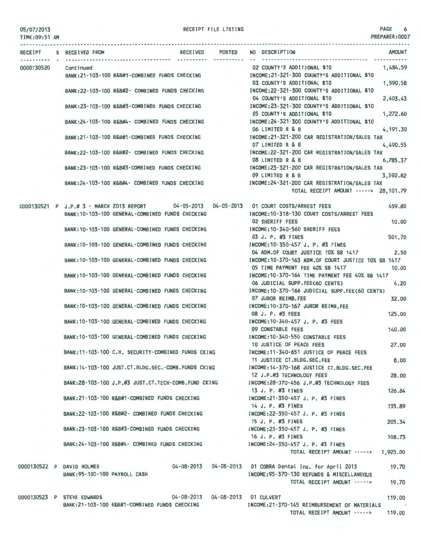TIME:09:51 AM RECEIPT S RECEIVED FROM RECEIVED POSTED NO DESCRIPTION AMOUNT 0000130520 Continued 02 COUNTY'S ADDITIONAL \$10 1,484.59 BANK:21-103-100 R&B#1-COMBINED FUNDS CHECKING INCOME:21-321-300 COUNTY'S ADDITIONAL \$10 03 COUNTY'S ADDITIONAL \$10 1.590.58 BANK:22-103-100 R&B#2- COMBINED FUNDS CHECKING INCOME:22-321-300 COUNTY'S ADDITIONAL \$10 04 COUNTY'S ADDITIONAL \$10 2,403.43 BANK:23-103-100 R&B#3-COMBINED FUNDS CHECKING INCOME:23-321-300 COUNTY'S ADDITIONAL \$10 05 COUNTY'S ADDITIONAL \$10 1,272.60 INCOME:24-321-300 COUNTY'S ADDITIONAL \$10 BANK:24-103-100 R&B#4- COMBINED FUNDS CHECKING 06 LIMITED R & B 4,191.30 BANK:21-103-100 R&B#1-COMBINED FUNDS CHECKING INCOME:21-321-200 CAR REGISTRATION/SALES TAX<br>07 LIMITED R & B 4,490.55  $07$  LIMITED R & B BANK:22 - 103-100 R&B#2- COMBINED FUNDS CHECKING INCOME:22-321-200 CAR REGISTRATION/SALES TAX 08 LIMITED R & B 6,785.37 BANK:23-103-100 R&B#3-COMBINED FUNDS CHECKING INCOME:23-321-200 CAR REGISTRATION/SALES TAX 09 LIMITED R & B 3,592.82 BANK:24 - 103-100 R&B#4- COMBINED FUNDS CHECKING INCOME: 24-321-200 CAR REGISTRATION/SALES TAX TOTAL RECEIPT AMOUNT-----> 28, 101.79 0000130521 P J.P.# 3 - MARCH 2013 REPORT 04-05-2013 04-05-2013 01 COURT COSTS/ARREST FEES 459.80 BANK:10-103-100 GENERAL-COMBINED FUNDS CHECKING INCOME:10-318-130 COURT COSTS/ARREST FEES 10.00 02 SHERIFF FEES BANK:10-103-100 GENERAL-COMBINED FUNDS CHECKING INCOME:10-340-560 SHERIFF FEES 03 J. P. #3 FINES 501.70 BANK:10-103-100 GENERAL-COMBINED FUNDS CHECKING INCOME:10-350-457 J. P. #3 FINES 04 ADM.OF COURT JUSTICE 10% SB 1417 2.50 BANK:10-103-100 GENERAL-COMBINED FUNDS CHECKING INCOME:10-370-163 ADM.OF COURT JUSTICE 10% SB 1417 05 TIME PAYMENT FEE 40% SB 1417 10.00 BANK:10-103-100 GENERAL-COMBINED FUNDS CHECKING INCOME:10-370-164 TIME PAYMENT FEE 40% SB 1417 06 JUDICIAL SUPP.FEE(60 CENTS) 4.20 BANK:10-103-100 GENERAL-COMBINED FUNDS CHECKING INCOME:10-370-166 JUDICIAL SUPP.FEE(60 CENTS) 07 JUROR REIMB.FEE 32.00 BANK:10-103-100 GENERAL-COMBINED FUNDS CHECKING INCOME:10-370-167 JUROR REIMB.FEE 08 J. P. #3 FEES 125.00 INCOME:10-340-457 J. P. #3 FEES BANK:10-103-100 GENERAL-COMBINED FUNDS CHECKING 09 CONSTABLE FEES 140.00 INCOME:10-340-550 CONSTABLE FEES BANK:10-103-100 GENERAL-COMBINED FUNDS CHECKING 10 JUSTICE OF PEACE FEES 27. 00 BANK:11-103-100 C.H. SECURITY-COMBINED FUNDS CKING INCOME:11-340-651 JUSTICE OF PEACE FEES 11 JUSTICE CT.BLDG.SEC.FEE 8.00 BANK:14-103-100 JUST.CT.BLDG.SEC. -COMB.FUNDS CKING INCOME:14-370-168 JUSTICE CT.BLDG.SEC.FEE 12 J.P.#3 TECHNOLOGY FEES 28.00 BANK:28-103-100 J.P.#3 JUST.CT.TECH-COMB.FUND CKING INCOME:28-370-456 J.P.#3 TECHNOLOGY FEES 13 J. P. #3 FINES 126.84 BANK:21-103-100 R&B#1-COMBINED FUNDS CHECKING INCOME:21-350-457 J. P. #3 FINES 14 J. P. #3 FINES 135.89 BANK:22-103-100 R&B#2- COMBINED FUNDS CHECKING INCOME:22-350-457 J. P. #3 FINES 15 J. P. #3 FINES 205.34 BANK:23-103-100 R&B#3-COMBINED FUNDS CHECKING INCOME:23 -350-457 J. P. #3 FINES 16 J. P. #3 FINES 108.73 BANK:24-103-100 R&B#4- COMBINED FUNDS CHECKING INCOME:24-350-457 J. P. #3 FINES TOTAL RECEIPT AMOUNT -----> 1,925.00 04-08-2013 04-08-2013 01 COBRA Dental Ins. for April 2013 0000130522 P DAVID HOLMES 19.70 BANK:95- 100-100 PAYROLL CASH INCOME:95 -370-130 REFUNDS & MISCELLANEOUS TOTAL RECEIPT AMOUNT -----> 19.70 0000130523 P STEVE EDWARDS 04-08-2013 04-08-2013 01 CULVERT 119.00 BANK:21-103-100 R&B#1-COMBINED FUNDS CHECKING INCOME:21-370-145 REIMBURSEMENT OF MATER IALS **Contract Contract State** TOTAL RECEIPT AMOUNT -----> 119.00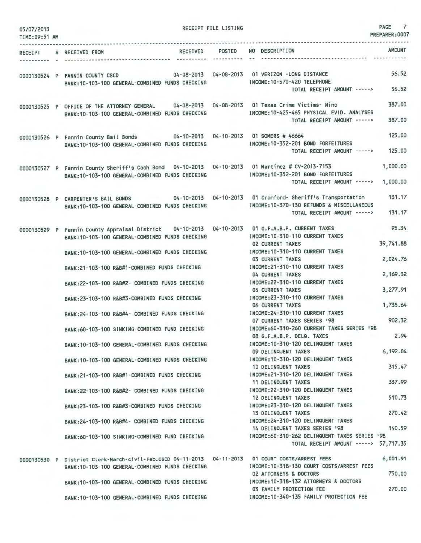| 05/07/2013<br>TIME: 09:51 AM |                                                                                                                                                       | RECEIPT FILE LISTING |                                                                                        | PAGE 7<br>PREPARER: 0007 |
|------------------------------|-------------------------------------------------------------------------------------------------------------------------------------------------------|----------------------|----------------------------------------------------------------------------------------|--------------------------|
|                              | RECEIPT S RECEIVED FROM                                                                                                                               | RECEIVED POSTED      | NO DESCRIPTION                                                                         | <b>AMOUNT</b>            |
| . <u>.</u>                   |                                                                                                                                                       | assamentes (1990)    |                                                                                        |                          |
|                              | 04-08-2013  04-08-2013  01 VERIZON -LONG DISTANCE<br>0000130524 P FANNIN COUNTY CSCD                                                                  |                      |                                                                                        | 56.52                    |
|                              | BANK: 10-103-100 GENERAL-COMBINED FUNDS CHECKING                                                                                                      |                      | INCOME: 10-570-420 TELEPHONE<br>TOTAL RECEIPT AMOUNT ----->                            | 56,52                    |
|                              |                                                                                                                                                       |                      |                                                                                        |                          |
|                              | 0000130525 P OFFICE OF THE ATTORNEY GENERAL 04-08-2013 04-08-2013 01 Texas Crime Victims- Nino<br>BANK: 10-103-100 GENERAL-COMBINED FUNDS CHECKING    |                      | INCOME: 10-425-465 PHYSICAL EVID. ANALYSES                                             | 387.00                   |
|                              |                                                                                                                                                       |                      | TOTAL RECEIPT AMOUNT ----->                                                            | 387,00                   |
|                              | 0000130526 P Fannin County Bail Bonds 04-10-2013 04-10-2013 01 SOMERS # 46664                                                                         |                      |                                                                                        | 125.00                   |
|                              | BANK: 10-103-100 GENERAL-COMBINED FUNDS CHECKING                                                                                                      |                      | INCOME:10-352-201 BOND FORFEITURES<br>TOTAL RECEIPT AMOUNT ----->                      | 125,00                   |
|                              |                                                                                                                                                       |                      |                                                                                        |                          |
|                              | 0000130527 P Fannin County Sheriff's Cash Bond 04-10-2013 04-10-2013 01 Martinez # CV-2013-7153<br>BANK:10-103-100 GENERAL-COMBINED FUNDS CHECKING    |                      | INCOME: 10-352-201 BOND FORFEITURES                                                    | 1,000.00                 |
|                              |                                                                                                                                                       |                      | TOTAL RECEIPT AMOUNT ----->                                                            | 1,000.00                 |
|                              | 0000130528 P CARPENTER'S BAIL BONDS 04-10-2013 04-10-2013 01 Cranford- Sheriff's Transportation                                                       |                      |                                                                                        | 131.17                   |
|                              | BANK: 10-103-100 GENERAL-COMBINED FUNDS CHECKING                                                                                                      |                      | INCOME: 10-370-130 REFUNDS & MISCELLANEOUS<br>TOTAL RECEIPT AMOUNT ----->              | 131.17                   |
|                              |                                                                                                                                                       |                      |                                                                                        |                          |
|                              | 0000130529 P Fannin County Appraisal District 04-10-2013 04-10-2013 01 G.F.A.B.P. CURRENT TAXES<br>BANK: 10-103-100 GENERAL-COMBINED FUNDS CHECKING   |                      | INCOME: 10-310-110 CURRENT TAXES                                                       | 95.34                    |
|                              |                                                                                                                                                       |                      | <b>02 CURRENT TAXES</b>                                                                | 39,741.88                |
|                              | BANK: 10-103-100 GENERAL-COMBINED FUNDS CHECKING                                                                                                      |                      | INCOME: 10-310-110 CURRENT TAXES<br><b>03 CURRENT TAXES</b>                            | 2,024.76                 |
|                              | BANK:21-103-100 R&B#1-COMBINED FUNDS CHECKING                                                                                                         |                      | INCOME: 21-310-110 CURRENT TAXES<br>04 CURRENT TAXES                                   | 2,169.32                 |
|                              | BANK:22-103-100 R&B#2- COMBINED FUNDS CHECKING                                                                                                        |                      | INCOME: 22-310-110 CURRENT TAXES                                                       |                          |
|                              | BANK:23-103-100 R&B#3-COMBINED FUNDS CHECKING                                                                                                         |                      | <b>05 CURRENT TAXES</b><br>INCOME: 23-310-110 CURRENT TAXES                            | 3,277.91                 |
|                              |                                                                                                                                                       |                      | 06 CURRENT TAXES                                                                       | 1,735.64                 |
|                              | BANK:24-103-100 R&B#4- COMBINED FUNDS CHECKING                                                                                                        |                      | INCOME: 24-310-110 CURRENT TAXES<br>07 CURRENT TAXES SERIES '98                        | 902.32                   |
|                              | BANK:60-103-100 SINKING-COMBINED FUND CHECKING                                                                                                        |                      | INCOME:60-310-260 CURRENT TAXES SERIES '98                                             | 2.94                     |
|                              | BANK: 10-103-100 GENERAL-COMBINED FUNDS CHECKING                                                                                                      |                      | 08 G.F.A.B.P. DELQ. TAXES<br>INCOME: 10-310-120 DELINQUENT TAXES                       |                          |
|                              | BANK: 10-103-100 GENERAL-COMBINED FUNDS CHECKING                                                                                                      |                      | 09 DELINQUENT TAXES<br>INCOME: 10-310-120 DELINQUENT TAXES                             | 6,192.04                 |
|                              |                                                                                                                                                       |                      | 10 DELINQUENT TAXES                                                                    | 315.47                   |
|                              | BANK:21-103-100 R&B#1-COMBINED FUNDS CHECKING                                                                                                         |                      | INCOME: 21-310-120 DELINQUENT TAXES<br><b>11 DELINQUENT TAXES</b>                      | 337.99                   |
|                              | BANK: 22-103-100 R&B#2- COMBINED FUNDS CHECKING                                                                                                       |                      | INCOME: 22-310-120 DELINQUENT TAXES                                                    |                          |
|                              | BANK: 23-103-100 R&B#3-COMBINED FUNDS CHECKING                                                                                                        |                      | 12 DELINQUENT TAXES<br>INCOME: 23-310-120 DELINQUENT TAXES                             | 510.73                   |
|                              |                                                                                                                                                       |                      | 13 DELINQUENT TAXES                                                                    | 270.42                   |
|                              | BANK: 24-103-100 R&B#4- COMBINED FUNDS CHECKING                                                                                                       |                      | INCOME: 24-310-120 DELINQUENT TAXES<br>14 DELINQUENT TAXES SERIES '98                  | 140.59                   |
|                              | BANK:60-103-100 SINKING-COMBINED FUND CHECKING                                                                                                        |                      | INCOME:60-310-262 DELINQUENT TAXES SERIES '98<br>TOTAL RECEIPT AMOUNT -----> 57,717.35 |                          |
|                              |                                                                                                                                                       |                      |                                                                                        |                          |
|                              | 0000130530 P District Clerk-March-civil-Feb.CSCD 04-11-2013 04-11-2013 01 COURT COSTS/ARREST FEES<br>BANK: 10-103-100 GENERAL-COMBINED FUNDS CHECKING |                      | INCOME: 10-318-130 COURT COSTS/ARREST FEES                                             | 6,001.91                 |
|                              |                                                                                                                                                       |                      | 02 ATTORNEYS & DOCTORS                                                                 | 750.00                   |
|                              | BANK: 10-103-100 GENERAL-COMBINED FUNDS CHECKING                                                                                                      |                      | INCOME: 10-318-132 ATTORNEYS & DOCTORS<br>03 FAMILY PROTECTION FEE                     | 270.00                   |
|                              | BANK: 10-103-100 GENERAL-COMBINED FUNDS CHECKING                                                                                                      |                      | INCOME: 10-340-135 FAMILY PROTECTION FEE                                               |                          |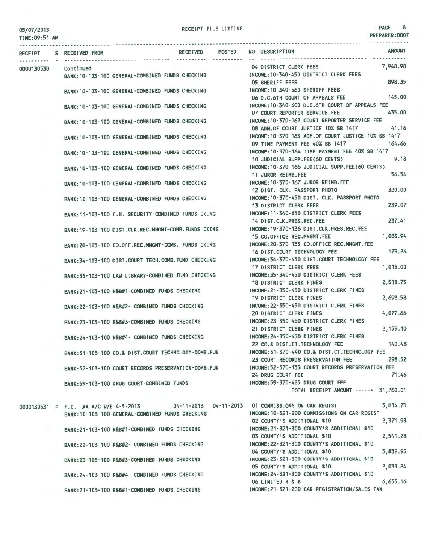PREPARER:0007

|                      | RECEIPT S RECEIVED FROM                              | POSTED<br>RECEIVED | NO DESCRIPTION                                     | <b>AMOUNT</b> |
|----------------------|------------------------------------------------------|--------------------|----------------------------------------------------|---------------|
|                      |                                                      |                    |                                                    |               |
| 0000130530 Continued |                                                      |                    | 7,948.98<br>04 DISTRICT CLERK FEES                 |               |
|                      | BANK: 10-103-100 GENERAL-COMBINED FUNDS CHECKING     |                    | INCOME: 10-340-450 DISTRICT CLERK FEES             |               |
|                      |                                                      |                    | 05 SHERIFF FEES                                    | 898.35        |
|                      | BANK: 10-103-100 GENERAL-COMBINED FUNDS CHECKING     |                    | INCOME:10-340-560 SHERIFF FEES                     |               |
|                      |                                                      |                    | 06 D.C.6TH COURT OF APPEALS FEE                    | 145.00        |
|                      | BANK: 10-103-100 GENERAL-COMBINED FUNDS CHECKING     |                    | INCOME: 10-340-600 D.C.6TH COURT OF APPEALS FEE    |               |
|                      |                                                      |                    | 07 COURT REPORTER SERVICE FEE                      | 435.00        |
|                      | BANK: 10-103-100 GENERAL-COMBINED FUNDS CHECKING     |                    | INCOME: 10-370-162 COURT REPORTER SERVICE FEE      |               |
|                      |                                                      |                    | 08 ADM.OF COURT JUSTICE 10% SB 1417                | 41.16         |
|                      | BANK: 10-103-100 GENERAL-COMBINED FUNDS CHECKING     |                    | INCOME:10-370-163 ADM.OF COURT JUSTICE 10% SB 1417 |               |
|                      |                                                      |                    | 09 TIME PAYMENT FEE 40% SB 1417                    | 164.66        |
|                      | BANK:10-103-100 GENERAL-COMBINED FUNDS CHECKING      |                    | INCOME: 10-370-164 TIME PAYMENT FEE 40% SB 1417    |               |
|                      |                                                      |                    | 10 JUDICIAL SUPP.FEE(60 CENTS)                     | 9.18          |
|                      | BANK:10-103-100 GENERAL-COMBINED FUNDS CHECKING      |                    | INCOME: 10-370-166 JUDICIAL SUPP.FEE(60 CENTS)     |               |
|                      |                                                      |                    | 11 JUROR REIMB.FEE                                 | 56,54         |
|                      | BANK:10-103-100 GENERAL-COMBINED FUNDS CHECKING      |                    | INCOME: 10-370-167 JUROR REIMB.FEE                 |               |
|                      |                                                      |                    | 12 DIST, CLK, PASSPORT PHOTO                       | 320,00        |
|                      | BANK: 10-103-100 GENERAL-COMBINED FUNDS CHECKING     |                    | INCOME: 10-370-450 DIST, CLK, PASSPORT PHOTO       |               |
|                      |                                                      |                    | 13 DISTRICT CLERK FEES                             | 239.07        |
|                      | BANK: 11-103-100 C.H. SECURITY-COMBINED FUNDS CKING  |                    | INCOME: 11-340-650 DISTRICT CLERK FEES             |               |
|                      |                                                      |                    | 14 DIST.CLK.PRES.REC.FEE                           | 237.41        |
|                      |                                                      |                    | INCOME: 19-370-136 DIST.CLK.PRES.REC.FEE           |               |
|                      | BANK: 19-103-100 DIST.CLK.REC.MNGMT-COMB.FUNDS CKING |                    | 1,083.94<br>15 CO.OFFICE REC.MNGMT.FEE             |               |
|                      |                                                      |                    | INCOME: 20-370-135 CO.OFFICE REC.MNGMT.FEE         |               |
|                      | BANK:20-103-100 CO.OFF.REC.MNGMT-COMB. FUNDS CKING   |                    | 16 DIST.COURT TECHNOLOGY FEE                       | 179.26        |
|                      |                                                      |                    | INCOME: 34-370-450 DIST.COURT TECHNOLOGY FEE       |               |
|                      | BANK:34-103-100 DIST.COURT TECH.COMB.FUND CHECKING   |                    | 1,015.00                                           |               |
|                      |                                                      |                    | 17 DISTRICT CLERK FEES                             |               |
|                      | BANK:35-103-100 LAW LIBRARY-COMBINED FUND CHECKING   |                    | INCOME: 35-340-450 DISTRICT CLERK FEES             |               |
|                      |                                                      |                    | 2,518.75<br>18 DISTRICT CLERK FINES                |               |
|                      | BANK:21-103-100 R&B#1-COMBINED FUNDS CHECKING        |                    | INCOME: 21-350-450 DISTRICT CLERK FINES            |               |
|                      |                                                      |                    | 2,698.58<br>19 DISTRICT CLERK FINES                |               |
|                      | BANK:22-103-100 R&B#2- COMBINED FUNDS CHECKING       |                    | INCOME:22-350-450 DISTRICT CLERK FINES             |               |
|                      |                                                      |                    | 4,077.66<br>20 DISTRICT CLERK FINES                |               |
|                      | BANK:23-103-100 R&B#3-COMBINED FUNDS CHECKING        |                    | INCOME: 23-350-450 DISTRICT CLERK FINES            |               |
|                      |                                                      |                    | 21 DISTRICT CLERK FINES<br>2,159.10                |               |
|                      | BANK:24-103-100 R&B#4- COMBINED FUNDS CHECKING       |                    | INCOME: 24-350-450 DISTRICT CLERK FINES            |               |
|                      |                                                      |                    | 22 CO.& DIST.CT.TECHNOLOGY FEE                     | 140,48        |
|                      | BANK:51-103-100 CO.& DIST.COURT TECHNOLOGY-COMB.FUN  |                    | INCOME:51-370-440 CO.& DIST.CT.TECHNOLOGY FEE      |               |
|                      |                                                      |                    | 23 COURT RECORDS PRESERVATION FEE                  | 298.52        |
|                      | BANK:52-103-100 COURT RECORDS PRESERVATION-COMB. FUN |                    | INCOME:52-370-133 COURT RECORDS PRESERVATION FEE   |               |
|                      |                                                      |                    | 24 DRUG COURT FEE                                  | 71.46         |
|                      | BANK:59-103-100 DRUG COURT-COMBINED FUNDS            |                    | INCOME: 59-370-425 DRUG COURT FEE                  |               |
|                      |                                                      |                    | TOTAL RECEIPT AMOUNT -----> 31,760.01              |               |

0000130531 P F.C. TAX A/C W/E 4-5-2013 BANK:10-103-100 GENERAL-COMBINED FUNDS CHECKING BANK:21 - 103-100 R&B#1 -COMBINED FUNDS CHECKING BANK:22- 103-100 R&B#2- COMBINED FUNDS CHECKING BANK:23- 103-100 R&B#3-COMBINED FUNDS CHECKING BANK:24-103-100 R&B#4- COMBINED FUNDS CHECKING BANK:21-103-100 R&B#1-COMBINED FUNDS CHECKING

04-11-2013 04-11-2013 01 COMMISSIONS ON CAR REGIST 3,014.70 INCOME:10-321-200 COMMISSIONS ON CAR REGIST 02 COUNTY'S ADDITIONAL \$10 INCOME:21-321 -300 COUNTY'S ADDITIONAL \$10 03 COUNTY'S ADDITIONAL \$10 INCOME:22-321 -300 COUNTY'S ADDITIONAL \$10 04 COUNTY'S ADDITIONAL \$10 INCOME:23 -321 -300 COUNTY'S ADDITIONAL \$10 2,371.93 2,541.28 3,839.95 05 COUNTY'S ADDITIONAL \$10 2,033.24 INCOME:24-321 -300 COUNTY'S ADDITIONAL \$10 06 LIMITED R & B 6,655.16 INCOME:21-321-200 CAR REGISTRATION/SALES TAX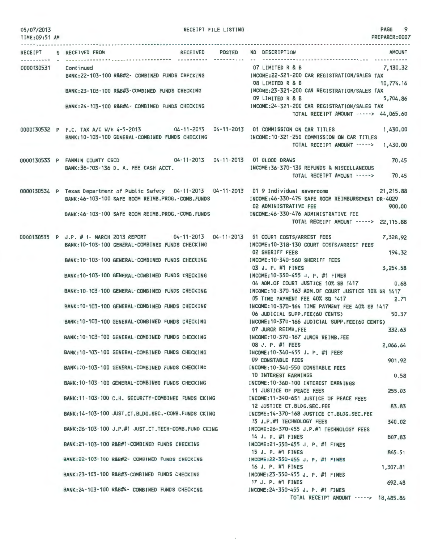| 05/07/2013<br>TIME: 09:51 AM | RECEIPT FILE LISTING                                                                              | PAGE 9<br>PREPARER: 0007                                                                                                                                                                |
|------------------------------|---------------------------------------------------------------------------------------------------|-----------------------------------------------------------------------------------------------------------------------------------------------------------------------------------------|
|                              | RECEIPT S RECEIVED FROM                                                                           | RECEIVED POSTED NO DESCRIPTION<br>AMOUNT                                                                                                                                                |
|                              |                                                                                                   | 07 LIMITED R & B<br>7,130.32                                                                                                                                                            |
| 0000130531 Continued         | BANK:22-103-100 R&B#2- COMBINED FUNDS CHECKING INCOME:22-321-200 CAR REGISTRATION/SALES TAX       | 08 LIMITED R & B<br>10,774.16                                                                                                                                                           |
|                              | BANK:23-103-100 R&B#3-COMBINED FUNDS CHECKING [NCOME:23-321-200 CAR REGISTRATION/SALES TAX        | 09 LIMITED R & B<br>5,704.86                                                                                                                                                            |
|                              | BANK:24-103-100 R&B#4- COMBINED FUNDS CHECKING INCOME:24-321-200 CAR REGISTRATION/SALES TAX       | TOTAL RECEIPT AMOUNT -----> 44,065.60                                                                                                                                                   |
|                              | BANK:10-103-100 GENERAL-COMBINED FUNDS CHECKING                                                   | 0000130532 P F.C. TAX A/C W/E 4-5-2013 04-11-2013 04-11-2013 01 COMMISSION ON CAR TITLES 1,430.00<br>INCOME:10-321-250 COMMISSION ON CAR TITLES<br>TOTAL RECEIPT AMOUNT -----> 1,430.00 |
|                              |                                                                                                   |                                                                                                                                                                                         |
|                              | 0000130533 P FANNIN COUNTY CSCD 04-11-2013 04-11-2013 01 BLOOD DRAWS                              | 70.45                                                                                                                                                                                   |
|                              | BANK: 36-103-136 D. A. FEE CASH ACCT.                                                             | INCOME: 36-370-130 REFUNDS & MISCELLANEOUS<br>TOTAL RECEIPT AMOUNT -----> 70.45                                                                                                         |
|                              | BANK:46-103-100 SAFE ROOM REIMB.PROG.-COMB.FUNDS MOONE:46-330-475 SAFE ROOM REIMBURSEMENT DR-4029 | 0000130534 P Texas Department of Public Safety 04-11-2013 04-11-2013 01 9 Individual saverooms 21,215.88                                                                                |
|                              |                                                                                                   | 02 ADMINISTRATIVE FEE<br>900.00                                                                                                                                                         |
|                              | BANK:46-103-100 SAFE ROOM REIMB.PROG.-COMB.FUNDS MCOME:46-330-476 ADMINISTRATIVE FEE              | TOTAL RECEIPT AMOUNT -----> 22,115.88                                                                                                                                                   |
|                              |                                                                                                   | 0000130535 P J.P. # 1- MARCH 2013 REPORT 04-11-2013 04-11-2013 01 COURT COSTS/ARREST FEES 7,328.92                                                                                      |
|                              | BANK: 10-103-100 GENERAL-COMBINED FUNDS CHECKING                                                  | INCOME: 10-318-130 COURT COSTS/ARREST FEES<br>194.32                                                                                                                                    |
|                              | BANK: 10-103-100 GENERAL-COMBINED FUNDS CHECKING                                                  | <b>02 SHERIFF FEES</b><br>INCOME:10-340-560 SHERIFF FEES                                                                                                                                |
|                              |                                                                                                   | 03 J. P. #1 FINES<br>3,254.58                                                                                                                                                           |
|                              | BANK: 10-103-100 GENERAL-COMBINED FUNDS CHECKING                                                  | INCOME: 10-350-455 J. P. #1 FINES                                                                                                                                                       |
|                              |                                                                                                   | 04 ADM.OF COURT JUSTICE 10% SB 1417<br>0.68<br>INCOME: 10-370-163 ADM. OF COURT JUSTICE 10% SB 1417                                                                                     |
|                              | BANK: 10-103-100 GENERAL-COMBINED FUNDS CHECKING                                                  | 05 TIME PAYMENT FEE 40% SB 1417<br>2.71                                                                                                                                                 |
|                              | BANK: 10-103-100 GENERAL-COMBINED FUNDS CHECKING                                                  | INCOME: 10-370-164 TIME PAYMENT FEE 40% SB 1417                                                                                                                                         |
|                              |                                                                                                   | 50.37<br>06 JUDICIAL SUPP.FEE(60 CENTS)                                                                                                                                                 |
|                              | BANK:10-103-100 GENERAL-COMBINED FUNDS CHECKING                                                   | INCOME: 10-370-166 JUDICIAL SUPP.FEE(60 CENTS)<br>07 JUROR REIMB.FEE<br>332.63                                                                                                          |
|                              | BANK: 10-103-100 GENERAL-COMBINED FUNDS CHECKING                                                  | INCOME: 10-370-167 JUROR REIMB.FEE                                                                                                                                                      |
|                              |                                                                                                   | 08 J. P. #1 FEES<br>2,066.64                                                                                                                                                            |
|                              | BANK: 10-103-100 GENERAL-COMBINED FUNDS CHECKING                                                  | INCOME: 10-340-455 J. P. #1 FEES<br>09 CONSTABLE FEES<br>901.92                                                                                                                         |
|                              | BANK: 10-103-100 GENERAL-COMBINED FUNDS CHECKING                                                  | INCOME: 10-340-550 CONSTABLE FEES                                                                                                                                                       |
|                              |                                                                                                   | <b>10 INTEREST EARNINGS</b><br>0.58                                                                                                                                                     |
|                              | BANK: 10-103-100 GENERAL-COMBINED FUNDS CHECKING                                                  | INCOME: 10-360-100 INTEREST EARNINGS                                                                                                                                                    |
|                              | BANK: 11-103-100 C.H. SECURITY-COMBINED FUNDS CKING                                               | 11 JUSTICE OF PEACE FEES<br>255.03<br>INCOME:11-340-651 JUSTICE OF PEACE FEES                                                                                                           |
|                              |                                                                                                   | 12 JUSTICE CT.BLDG.SEC.FEE<br>83.83                                                                                                                                                     |
|                              | BANK: 14-103-100 JUST.CT.BLDG.SEC. - COMB. FUNDS CKING                                            | INCOME: 14-370-168 JUSTICE CT.BLDG.SEC.FEE                                                                                                                                              |
|                              | BANK: 26-103-100 J.P.#1 JUST.CT. TECH-COMB. FUND CKING                                            | 13 J.P.#1 TECHNOLOGY FEES<br>340.02<br>INCOME: 26-370-455 J.P.#1 TECHNOLOGY FEES                                                                                                        |
|                              |                                                                                                   | 14 J. P. #1 FINES<br>807.83                                                                                                                                                             |
|                              | BANK: 21-103-100 R&B#1-COMBINED FUNDS CHECKING                                                    | INCOME: 21-350-455 J. P. #1 FINES                                                                                                                                                       |
|                              | BANK: 22-103-100 R&B#2- COMBINED FUNDS CHECKING                                                   | 15 J. P. #1 FINES<br>865.51<br>INCOME: 22-350-455 J. P. #1 FINES                                                                                                                        |
|                              |                                                                                                   | 16 J. P. #1 FINES<br>1,307.81                                                                                                                                                           |
|                              | BANK:23-103-100 R&B#3-COMBINED FUNDS CHECKING                                                     | INCOME: 23-350-455 J. P. #1 FINES                                                                                                                                                       |
|                              | BANK:24-103-100 R&B#4- COMBINED FUNDS CHECKING                                                    | 17 J. P. #1 FINES<br>692.48<br>INCOME: 24-350-455 J. P. #1 FINES                                                                                                                        |
|                              |                                                                                                   | TOTAL RECEIPT AMOUNT -----> 18,485.86                                                                                                                                                   |

 $\bar{b}$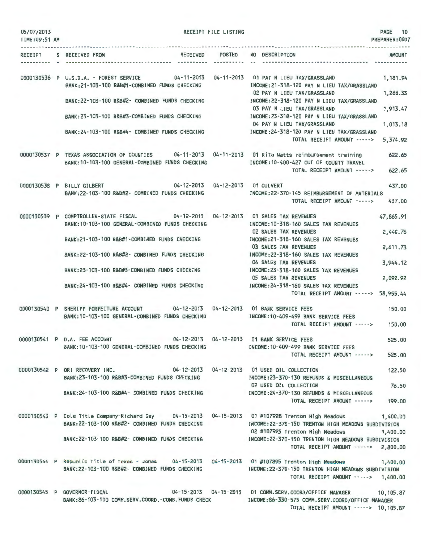| 05/07/2013<br>TIME: 09:51 AM |                                                                                                                                                               | RECEIPT FILE LISTING |                                                                                                                               | PAGE 10<br>PREPARER: 0007 |
|------------------------------|---------------------------------------------------------------------------------------------------------------------------------------------------------------|----------------------|-------------------------------------------------------------------------------------------------------------------------------|---------------------------|
|                              | RECEIPT S RECEIVED FROM                                                                                                                                       | ----------           | RECEIVED POSTED NO DESCRIPTION<br>------------------------                                                                    | AMOUNT                    |
|                              | 0000130536 P U.S.D.A. - FOREST SERVICE 04-11-2013 04-11-2013 01 PAY N LIEU TAX/GRASSLAND<br>BANK:21-103-100 R&B#1-COMBINED FUNDS CHECKING                     |                      | INCOME: 21-318-120 PAY N LIEU TAX/GRASSLAND                                                                                   | 1,181.94                  |
|                              | BANK:22-103-100 R&B#2- COMBINED FUNDS CHECKING                                                                                                                |                      | 02 PAY N LIEU TAX/GRASSLAND<br>INCOME:22-318-120 PAY N LIEU TAX/GRASSLAND<br>03 PAY N LIEU TAX/GRASSLAND                      | 1,266.33<br>1,913.47      |
|                              | BANK:23-103-100 R&B#3-COMBINED FUNDS CHECKING                                                                                                                 |                      | INCOME:23-318-120 PAY N LIEU TAX/GRASSLAND<br>04 PAY N LIEU TAX/GRASSLAND                                                     | 1,013.18                  |
|                              | BANK:24-103-100 R&B#4- COMBINED FUNDS CHECKING                                                                                                                |                      | INCOME: 24-318-120 PAY N LIEU TAX/GRASSLAND<br>TOTAL RECEIPT AMOUNT ----->                                                    | 5,374.92                  |
|                              | 0000130537 P TEXAS ASSOCIATION OF COUNTIES 04-11-2013 04-11-2013 01 Rita Watts reimbursement training<br>BANK: 10-103-100 GENERAL-COMBINED FUNDS CHECKING     |                      | INCOME: 10-400-427 OUT OF COUNTY TRAVEL<br>TOTAL RECEIPT AMOUNT ----->                                                        | 622.65<br>622.65          |
|                              | 04-12-2013  04-12-2013  01 CULVERT<br>0000130538 P BILLY GILBERT                                                                                              |                      |                                                                                                                               | 437.00                    |
|                              | BANK:22-103-100 R&B#2- COMBINED FUNDS CHECKING                                                                                                                |                      | INCOME: 22-370-145 REIMBURSEMENT OF MATERIALS<br>TOTAL RECEIPT AMOUNT ----->                                                  | 437.00                    |
|                              | 0000130539 P COMPTROLLER-STATE FISCAL 04-12-2013 04-12-2013 01 SALES TAX REVENUES<br>BANK: 10-103-100 GENERAL-COMBINED FUNDS CHECKING                         |                      | INCOME: 10-318-160 SALES TAX REVENUES                                                                                         | 47,865.91                 |
|                              | BANK:21-103-100 R&B#1-COMBINED FUNDS CHECKING                                                                                                                 |                      | <b>02 SALES TAX REVENUES</b><br>INCOME: 21-318-160 SALES TAX REVENUES<br>03 SALES TAX REVENUES                                | 2,440.76<br>2,611.73      |
|                              | BANK:22-103-100 R&B#2- COMBINED FUNDS CHECKING                                                                                                                |                      | INCOME: 22-318-160 SALES TAX REVENUES<br>04 SALES TAX REVENUES                                                                | 3,944.12                  |
|                              | BANK:23-103-100 R&B#3-COMBINED FUNDS CHECKING                                                                                                                 |                      | INCOME: 23-318-160 SALES TAX REVENUES<br>05 SALES TAX REVENUES                                                                | 2,092.92                  |
|                              | BANK:24-103-100 R&B#4- COMBINED FUNDS CHECKING                                                                                                                |                      | INCOME: 24-318-160 SALES TAX REVENUES<br>TOTAL RECEIPT AMOUNT ----->                                                          | 58,955.44                 |
|                              | 0000130540 P SHERIFF FORFEITURE ACCOUNT 04-12-2013 04-12-2013 01 BANK SERVICE FEES<br>BANK:10-103-100 GENERAL-COMBINED FUNDS CHECKING                         |                      | INCOME:10-409-499 BANK SERVICE FEES                                                                                           | 150.00                    |
|                              |                                                                                                                                                               |                      | TOTAL RECEIPT AMOUNT -----> 150.00                                                                                            |                           |
|                              | 04-12-2013  04-12-2013  01 BANK SERVICE FEES<br>0000130541 P D.A. FEE ACCOUNT<br>BANK: 10-103-100 GENERAL-COMBINED FUNDS CHECKING                             |                      | INCOME: 10-409-499 BANK SERVICE FEES                                                                                          | 525.00                    |
|                              |                                                                                                                                                               |                      | TOTAL RECEIPT AMOUNT ----->                                                                                                   | 525,00                    |
|                              | 0000130542 P ORI RECOVERY INC.<br>BANK:23-103-100 R&B#3-COMBINED FUNDS CHECKING                                                                               |                      | 04-12-2013  04-12-2013  01 USED OIL COLLECTION<br>INCOME: 23-370-130 REFUNDS & MISCELLANEOUS                                  | 122,50                    |
|                              | BANK:24-103-100 R&B#4- COMBINED FUNDS CHECKING                                                                                                                |                      | 02 USED OIL COLLECTION<br>INCOME: 24-370-130 REFUNDS & MISCELLANEOUS<br>TOTAL RECEIPT AMOUNT ----->                           | 76.50<br>199.00           |
|                              | 0000130543 P Cole Title Company-Richard Gay 04-15-2013 04-15-2013 01 #107928 Trenton High Meadows<br>BANK: 22-103-100 R&B#2- COMBINED FUNDS CHECKING          |                      | INCOME: 22-370-150 TRENTON HIGH MEADOWS SUBDIVISION                                                                           | 1,400.00                  |
|                              | BANK:22-103-100 R&B#2- COMBINED FUNDS CHECKING                                                                                                                |                      | 02 #107925 Trenton High Meadows<br>INCOME:22-370-150 TRENTON HIGH MEADOWS SUBDIVISION<br>TOTAL RECEIPT AMOUNT -----> 2,800.00 | 1,400.00                  |
|                              | 0000130544 P Republic Title of Texas - Jones 04-15-2013 04-15-2013 01 #107895 Trenton High Meadows 1,400.00<br>BANK:22-103-100 R&B#2- COMBINED FUNDS CHECKING |                      | INCOME:22-370-150 TRENTON HIGH MEADOWS SUBDIVISION<br>TOTAL RECEIPT AMOUNT -----> 1,400.00                                    |                           |
|                              | 0000130545 P GOVERNOR-FISCAL<br>BANK:86-103-100 COMM.SERV.COORD.-COMB.FUNDS CHECK MANAGER AND COMB:86-330-575 COMM.SERV.COORD/OFFICE MANAGER                  |                      | 04-15-2013  04-15-2013  01 COMM.SERV.COORD/OFFICE MANAGER  10,105.87<br>TOTAL RECEIPT AMOUNT -----> 10,105.87                 |                           |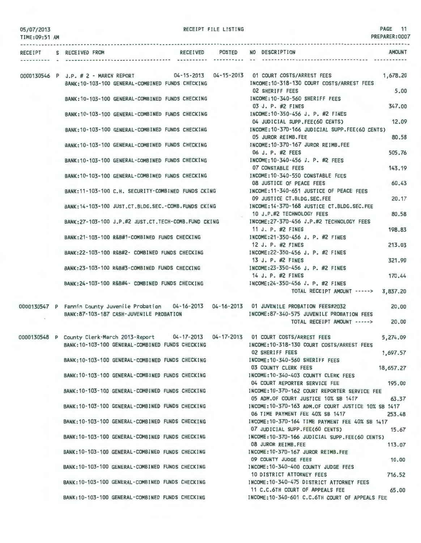| 05/07/2013<br>TIME: 09:51 AM |                                                                                                                                                 | RECEIPT FILE LISTING |                                                                                                                     | PAGE 11<br>PREPARER:0007 |
|------------------------------|-------------------------------------------------------------------------------------------------------------------------------------------------|----------------------|---------------------------------------------------------------------------------------------------------------------|--------------------------|
|                              | RECEIPT S RECEIVED FROM                                                                                                                         |                      | RECEIVED POSTED NO DESCRIPTION                                                                                      | <b>AMOUNT</b>            |
|                              | 0000130546 P J.P. # 2 - MARCH REPORT 04-15-2013 04-15-2013 01 COURT COSTS/ARREST FEES<br>BANK: 10-103-100 GENERAL-COMBINED FUNDS CHECKING       |                      | INCOME: 10-318-130 COURT COSTS/ARREST FEES                                                                          | 1,678.20                 |
|                              | BANK: 10-103-100 GENERAL-COMBINED FUNDS CHECKING                                                                                                |                      | <b>02 SHERIFF FEES</b><br>INCOME:10-340-560 SHERIFF FEES                                                            | 5,00                     |
|                              |                                                                                                                                                 |                      | 03 J. P. #2 FINES<br>INCOME:10-350-456 J. P. #2 FINES                                                               | 347.00                   |
|                              | BANK: 10-103-100 GENERAL-COMBINED FUNDS CHECKING                                                                                                |                      | 04 JUDICIAL SUPP.FEE(60 CENTS)                                                                                      | 12.09                    |
|                              |                                                                                                                                                 |                      | BANK:10-103-100 GENERAL-COMBINED FUNDS CHECKING INCOME:10-370-166 JUDICIAL SUPP.FEE(60 CENTS)<br>05 JUROR REIMB.FEE | 80.58                    |
|                              | BANK: 10-103-100 GENERAL-COMBINED FUNDS CHECKING                                                                                                |                      | INCOME:10-370-167 JUROR REIMB.FEE<br>06 J. P. #2 FEES                                                               | 505.76                   |
|                              | BANK: 10-103-100 GENERAL-COMBINED FUNDS CHECKING                                                                                                |                      | INCOME: 10-340-456 J. P. #2 FEES<br>07 CONSTABLE FEES                                                               | 143.19                   |
|                              | BANK:10-103-100 GENERAL-COMBINED FUNDS CHECKING                                                                                                 |                      | INCOME:10-340-550 CONSTABLE FEES<br>08 JUSTICE OF PEACE FEES                                                        | 60.43                    |
|                              | BANK: 11-103-100 C.H. SECURITY-COMBINED FUNDS CKING                                                                                             |                      | INCOME: 11-340-651 JUSTICE OF PEACE FEES                                                                            |                          |
|                              | BANK: 14-103-100 JUST.CT.BLDG.SEC.-COMB.FUNDS CKING                                                                                             |                      | 09 JUSTICE CT.BLDG.SEC.FEE<br>INCOME: 14-370-168 JUSTICE CT.BLDG.SEC.FEE                                            | 20.17                    |
|                              | BANK: 27-103-100 J.P.#2 JUST.CT. TECH-COMB. FUND CKING                                                                                          |                      | 10 J.P.#2 TECHNOLOGY FEES<br>INCOME: 27-370-456 J.P.#2 TECHNOLOGY FEES                                              | 80.58                    |
|                              | BANK:21-103-100 R&B#1-COMBINED FUNDS CHECKING                                                                                                   |                      | 11 J. P. #2 FINES<br>INCOME:21-350-456 J. P. #2 FINES                                                               | 198.83                   |
|                              | BANK: 22-103-100 R&B#2- COMBINED FUNDS CHECKING                                                                                                 |                      | 12 J. P. #2 FINES<br>INCOME:22-350-456 J. P. #2 FINES                                                               | 213.03                   |
|                              | BANK:23-103-100 R&B#3-COMBINED FUNDS CHECKING                                                                                                   |                      | 13 J. P. #2 FINES<br>INCOME: 23-350-456 J. P. #2 FINES                                                              | 321.90                   |
|                              |                                                                                                                                                 |                      | 14 J. P. #2 FINES                                                                                                   | 170.44                   |
|                              | BANK:24-103-100 R&B#4- COMBINED FUNDS CHECKING                                                                                                  |                      | INCOME:24-350-456 J. P. #2 FINES<br>TOTAL RECEIPT AMOUNT -----> 3,837.20                                            |                          |
|                              | 0000130547 P Fannin County Juvenile Probation 04-16-2013 04-16-2013 01 JUVENILE PROBATION FEES#2032<br>BANK: 87-103-187 CASH-JUVENILE PROBATION |                      | INCOME:87-340-575 JUVENILE PROBATION FEES                                                                           | 20,00                    |
|                              |                                                                                                                                                 |                      | TOTAL RECEIPT AMOUNT ----->                                                                                         | 20,00                    |
|                              | 0000130548 P County Clerk-March 2013-Report<br>BANK: 10-103-100 GENERAL-COMBINED FUNDS CHECKING                                                 |                      | 04-17-2013  04-17-2013  01 COURT COSTS/ARREST FEES<br>INCOME:10-318-130 COURT COSTS/ARREST FEES                     | 5.274.09                 |
|                              | BANK: 10-103-100 GENERAL-COMBINED FUNDS CHECKING                                                                                                |                      | <b>02 SHERIFF FEES</b><br>INCOME: 10-340-560 SHERIFF FEES                                                           | 1.697.57                 |
|                              | BANK: 10-103-100 GENERAL-COMBINED FUNDS CHECKING                                                                                                |                      | 03 COUNTY CLERK FEES<br>INCOME: 10-340-403 COUNTY CLERK FEES                                                        | 18,657.27                |
|                              | BANK: 10-103-100 GENERAL-COMBINED FUNDS CHECKING                                                                                                |                      | 04 COURT REPORTER SERVICE FEE<br>INCOME:10-370-162 COURT REPORTER SERVICE FEE                                       | 195.00                   |
|                              |                                                                                                                                                 |                      | 05 ADM.OF COURT JUSTICE 10% SB 1417                                                                                 | 63.37                    |
|                              | BANK: 10-103-100 GENERAL-COMBINED FUNDS CHECKING                                                                                                |                      | INCOME: 10-370-163 ADM. OF COURT JUSTICE 10% SB 1417<br>06 TIME PAYMENT FEE 40% SB 1417                             | 253.48                   |
|                              | BANK: 10-103-100 GENERAL-COMBINED FUNDS CHECKING                                                                                                |                      | INCOME: 10-370-164 TIME PAYMENT FEE 40% SB 1417<br>07 JUDICIAL SUPP.FEE(60 CENTS)                                   | 15.67                    |
|                              | BANK: 10-103-100 GENERAL-COMBINED FUNDS CHECKING                                                                                                |                      | INCOME: 10-370-166 JUDICIAL SUPP.FEE(60 CENTS)<br>08 JUROR REIMB.FEE                                                | 113.07                   |
|                              | BANK: 10-103-100 GENERAL-COMBINED FUNDS CHECKING                                                                                                |                      | INCOME: 10-370-167 JUROR REIMB.FEE<br>09 COUNTY JUDGE FEES                                                          | 10.00                    |
|                              | BANK: 10-103-100 GENERAL-COMBINED FUNDS CHECKING                                                                                                |                      | INCOME: 10-340-400 COUNTY JUDGE FEES<br>10 DISTRICT ATTORNEY FEES                                                   | 716.52                   |
|                              | BANK: 10-103-100 GENERAL-COMBINED FUNDS CHECKING                                                                                                |                      | INCOME: 10-340-475 DISTRICT ATTORNEY FEES<br>11 C.C.6TH COURT OF APPEALS FEE                                        | 65.00                    |

BANK:10-103-100 GENERAL-COMBINED FUNDS CHECKING INCOME:10-340-601 C.C.6TH COURT OF APPEALS FEE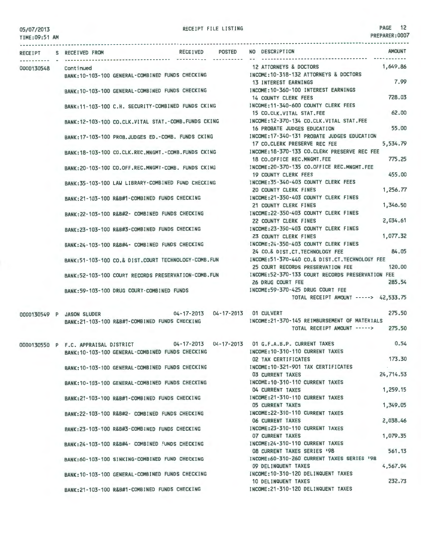RECEIPT FILE LISTING **PAGE** 12

| TIME:09:51 AM |                                      |                                                       |                 |               |                                                                                                                   | PREPARER: 0007 |
|---------------|--------------------------------------|-------------------------------------------------------|-----------------|---------------|-------------------------------------------------------------------------------------------------------------------|----------------|
| RECEIPT       | S RECEIVED FROM                      |                                                       | <b>RECEIVED</b> | <b>POSTED</b> | NO DESCRIPTION                                                                                                    | <b>AMOUNT</b>  |
| 0000130548    | Continued                            |                                                       |                 |               | 12 ATTORNEYS & DOCTORS<br>INCOME: 10-318-132 ATTORNEYS & DOCTORS                                                  | 1,649.86       |
|               |                                      | BANK: 10-103-100 GENERAL-COMBINED FUNDS CHECKING      |                 |               | 13 INTEREST EARNINGS                                                                                              | 7.99           |
|               |                                      | BANK: 10-103-100 GENERAL-COMBINED FUNDS CHECKING      |                 |               | INCOME:10-360-100 INTEREST EARNINGS<br><b>14 COUNTY CLERK FEES</b>                                                | 728.03         |
|               |                                      |                                                       |                 |               | BANK:11-103-100 C.H. SECURITY-COMBINED FUNDS CKING MCOME:11-340-600 COUNTY CLERK FEES<br>15 CO.CLK.VITAL STAT.FEE | 62.00          |
|               |                                      | BANK:12-103-100 CO.CLK.VITAL STAT.-COMB.FUNDS CKING   |                 |               | INCOME:12-370-134 CO.CLK.VITAL STAT.FEE<br>16 PROBATE JUDGES EDUCATION                                            | 55.00          |
|               |                                      | BANK: 17-103-100 PROB. JUDGES ED. - COMB. FUNDS CKING |                 |               | INCOME: 17-340-131 PROBATE JUDGES EDUCATION<br>17 CO.CLERK PRESERVE REC FEE                                       | 5,534.79       |
|               |                                      | BANK:18-103-100 CO.CLK.REC.MNGMT.-COMB.FUNDS CKING    |                 |               | INCOME: 18-370-133 CO.CLERK PRESERVE REC FEE<br>18 CO.OFFICE REC.MNGMT.FEE                                        | 775.25         |
|               |                                      | BANK:20-103-100 CO.OFF.REC.MNGMT-COMB. FUNDS CKING    |                 |               | INCOME: 20-370-135 CO.OFFICE REC.MNGMT.FEE<br><b>19 COUNTY CLERK FEES</b>                                         | 455.00         |
|               |                                      | BANK:35-103-100 LAW LIBRARY-COMBINED FUND CHECKING    |                 |               | INCOME:35-340-403 COUNTY CLERK FEES                                                                               |                |
|               |                                      | BANK:21-103-100 R&B#1-COMBINED FUNDS CHECKING         |                 |               | <b>20 COUNTY CLERK FINES</b><br>INCOME: 21-350-403 COUNTY CLERK FINES                                             | 1,256.77       |
|               |                                      | BANK:22-103-100 R&B#2- COMBINED FUNDS CHECKING        |                 |               | 21 COUNTY CLERK FINES<br>INCOME: 22-350-403 COUNTY CLERK FINES                                                    | 1,346.50       |
|               |                                      | BANK:23-103-100 R&B#3-COMBINED FUNDS CHECKING         |                 |               | 22 COUNTY CLERK FINES<br>INCOME: 23-350-403 COUNTY CLERK FINES                                                    | 2,034.61       |
|               |                                      | BANK:24-103-100 R&B#4- COMBINED FUNDS CHECKING        |                 |               | 23 COUNTY CLERK FINES<br>INCOME: 24-350-403 COUNTY CLERK FINES                                                    | 1,077.32       |
|               |                                      | BANK:51-103-100 CO.& DIST.COURT TECHNOLOGY-COMB.FUN   |                 |               | 24 CO.& DIST.CT. TECHNOLOGY FEE<br>INCOME:51-370-440 CO.& DIST.CT.TECHNOLOGY FEE                                  | 84.05          |
|               |                                      | BANK:52-103-100 COURT RECORDS PRESERVATION-COMB.FUN   |                 |               | 25 COURT RECORDS PRESERVATION FEE<br>INCOME: 52-370-133 COURT RECORDS PRESERVATION FEE                            | 120.00         |
|               |                                      | BANK: 59-103-100 DRUG COURT-COMBINED FUNDS            |                 |               | 26 DRUG COURT FEE<br>INCOME: 59-370-425 DRUG COURT FEE                                                            | 285.54         |
|               |                                      |                                                       |                 |               | TOTAL RECEIPT AMOUNT -----> 42,533.75                                                                             |                |
|               | 0000130549 P JASON SLUDER            |                                                       |                 |               | 04-17-2013  04-17-2013  01 CULVERT                                                                                | 275.50         |
|               |                                      | BANK:21-103-100 R&B#1-COMBINED FUNDS CHECKING         |                 |               | INCOME: 21-370-145 REIMBURSEMENT OF MATERIALS<br>TOTAL RECEIPT AMOUNT ----->                                      | 275.50         |
|               | 0000130550 P F.C. APPRAISAL DISTRICT |                                                       |                 |               | 04-17-2013  04-17-2013  01 G.F.A.B.P. CURRENT TAXES                                                               | 0.54           |
|               |                                      | BANK: 10-103-100 GENERAL-COMBINED FUNDS CHECKING      |                 |               | INCOME: 10-310-110 CURRENT TAXES                                                                                  | 173,30         |
|               |                                      | BANK: 10-103-100 GENERAL-COMBINED FUNDS CHECKING      |                 |               | 02 TAX CERTIFICATES<br>INCOME: 10-321-901 TAX CERTIFICATES                                                        |                |
|               |                                      |                                                       |                 |               | <b>03 CURRENT TAXES</b>                                                                                           | 24,714.53      |
|               |                                      | BANK: 10-103-100 GENERAL-COMBINED FUNDS CHECKING      |                 |               | INCOME: 10-310-110 CURRENT TAXES<br>04 CURRENT TAXES                                                              | 1,259.15       |
|               |                                      | BANK:21-103-100 R&B#1-COMBINED FUNDS CHECKING         |                 |               | INCOME: 21-310-110 CURRENT TAXES<br><b>05 CURRENT TAXES</b>                                                       | 1,349.05       |
|               |                                      | BANK:22-103-100 R&B#2- COMBINED FUNDS CHECKING        |                 |               | INCOME: 22-310-110 CURRENT TAXES<br><b>06 CURRENT TAXES</b>                                                       | 2,038.46       |
|               |                                      | BANK:23-103-100 R&B#3-COMBINED FUNDS CHECKING         |                 |               | INCOME:23-310-110 CURRENT TAXES<br>07 CURRENT TAXES                                                               | 1.079.35       |
|               |                                      | BANK:24-103-100 R&B#4- COMBINED FUNDS CHECKING        |                 |               | INCOME: 24-310-110 CURRENT TAXES<br>08 CURRENT TAXES SERIES 198                                                   | 561,13         |
|               |                                      | BANK:60-103-100 SINKING-COMBINED FUND CHECKING        |                 |               | INCOME:60-310-260 CURRENT TAXES SERIES '98<br>09 DELINQUENT TAXES                                                 | 4,567.94       |
|               |                                      | BANK: 10-103-100 GENERAL-COMBINED FUNDS CHECKING      |                 |               | INCOME: 10-310-120 DELINQUENT TAXES                                                                               |                |
|               |                                      |                                                       |                 |               | 10 DELINQUENT TAXES                                                                                               | 232.73         |

BANK:21-103·100 R&B#1·COMBINED FUNDS CHECKING INCOME:21·310·120 DELINQUENT TAXES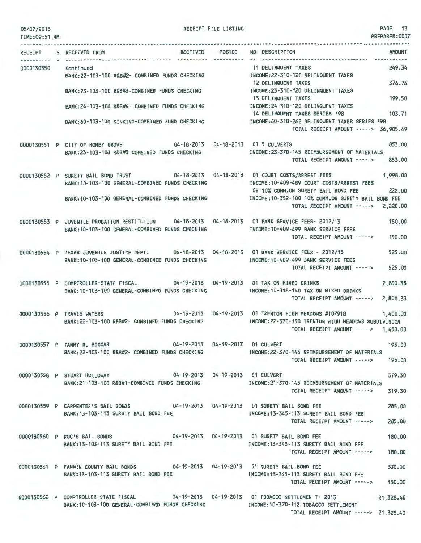| TIME:09:51 AM |                                                                                                                                                     |            | PREPARER: 0007                                                                                                                                                      |
|---------------|-----------------------------------------------------------------------------------------------------------------------------------------------------|------------|---------------------------------------------------------------------------------------------------------------------------------------------------------------------|
|               | RECEIVED POSTED<br>RECEIPT S RECEIVED FROM                                                                                                          | ---------- | NO DESCRIPTION<br><b>AMOUNT</b>                                                                                                                                     |
| 0000130550    | Continued<br>BANK:22-103-100 R&B#2- COMBINED FUNDS CHECKING                                                                                         |            | 249.34<br>11 DELINQUENT TAXES<br>INCOME: 22-310-120 DELINQUENT TAXES                                                                                                |
|               | BANK:23-103-100 R&B#3-COMBINED FUNDS CHECKING                                                                                                       |            | 376.76<br>12 DELINQUENT TAXES<br>INCOME: 23-310-120 DELINQUENT TAXES                                                                                                |
|               | BANK: 24-103-100 R&B#4- COMBINED FUNDS CHECKING                                                                                                     |            | 199.50<br>13 DELINQUENT TAXES<br>INCOME: 24-310-120 DELINQUENT TAXES<br>14 DELINQUENT TAXES SERIES '98<br>103.71                                                    |
|               | BANK:60-103-100 SINKING-COMBINED FUND CHECKING                                                                                                      |            | INCOME:60-310-262 DELINQUENT TAXES SERIES '98<br>TOTAL RECEIPT AMOUNT -----> 36,905.49                                                                              |
|               | 0000130551 P CITY OF HONEY GROVE 04-18-2013 04-18-2013 01 5 CULVERTS<br>BANK: 23-103-100 R&B#3-COMBINED FUNDS CHECKING                              |            | 853.00<br>INCOME: 23-370-145 REIMBURSEMENT OF MATERIALS                                                                                                             |
|               |                                                                                                                                                     |            | TOTAL RECEIPT AMOUNT -----><br>853.00                                                                                                                               |
|               | 0000130552 P SURETY BAIL BOND TRUST 04-18-2013 04-18-2013 01 COURT COSTS/ARREST FEES<br>BANK: 10-103-100 GENERAL-COMBINED FUNDS CHECKING            |            | 1,998.00<br>INCOME:10-409-489 COURT COSTS/ARREST FEES<br>222,00<br>02 10% COMM.ON SURETY BAIL BOND FEE                                                              |
|               | BANK:10-103-100 GENERAL-COMBINED FUNDS CHECKING                                                                                                     |            | INCOME: 10-352-100 10% COMM.ON SURETY BAIL BOND FEE<br>TOTAL RECEIPT AMOUNT -----> 2,220.00                                                                         |
|               | 0000130553 P JUVENILE PROBATION RESTITUTION 04-18-2013 04-18-2013 01 BANK SERVICE FEES- 2012/13<br>BANK: 10-103-100 GENERAL-COMBINED FUNDS CHECKING |            | 150.00<br>INCOME:10-409-499 BANK SERVICE FEES                                                                                                                       |
|               |                                                                                                                                                     |            | TOTAL RECEIPT AMOUNT -----><br>150.00                                                                                                                               |
|               | 0000130554 P TEXAS JUVENILE JUSTICE DEPT. 04-18-2013 04-18-2013 01 BANK SERVICE FEES - 2012/13<br>BANK:10-103-100 GENERAL-COMBINED FUNDS CHECKING   |            | 525.00<br>INCOME: 10-409-499 BANK SERVICE FEES<br>TOTAL RECEIPT AMOUNT -----><br>525,00                                                                             |
|               | 0000130555 P COMPTROLLER-STATE FISCAL 04-19-2013 04-19-2013 01 TAX ON MIXED DRINKS<br>BANK: 10-103-100 GENERAL-COMBINED FUNDS CHECKING              |            | 2,800.33<br>INCOME: 10-318-140 TAX ON MIXED DRINKS<br>2,800.33<br>TOTAL RECEIPT AMOUNT ----->                                                                       |
|               | 0000130556 P TRAVIS WATERS<br>BANK:22-103-100 R&B#2- COMBINED FUNDS CHECKING                                                                        |            | 04-19-2013   04-19-2013   01 TRENTON HIGH MEADOWS #107918<br>1,400.00<br>INCOME:22-370-150 TRENTON HIGH MEADOWS SUBDIVISION<br>TOTAL RECEIPT AMOUNT -----> 1,400.00 |
|               | 0000130557 P TAMMY R. BIGGAR<br>BANK:22-103-100 R&B#2- COMBINED FUNDS CHECKING [INCOME:22-370-145 REIMBURSEMENT OF MATERIALS                        |            | 04-19-2013  04-19-2013  01 CULVERT<br>195,00<br>TOTAL RECEIPT AMOUNT -----> 195.00                                                                                  |
|               | 0000130558 P STUART HOLLOWAY 04-19-2013 04-19-2013 01 CULVERT<br>BANK:21-103-100 R&B#1-COMBINED FUNDS CHECKING                                      |            | 319.30<br>INCOME:21-370-145 REIMBURSEMENT OF MATERIALS<br>TOTAL RECEIPT AMOUNT -----> 319.30                                                                        |
|               | 0000130559 P CARPENTER'S BAIL BONDS 04-19-2013 04-19-2013 01 SURETY BAIL BOND FEE<br>BANK: 13-103-113 SURETY BAIL BOND FEE                          |            | 285,00<br>INCOME:13-345-113 SURETY BAIL BOND FEE<br>TOTAL RECEIPT AMOUNT -----> 285.00                                                                              |
|               | 0000130560 P DOC'S BAIL BONDS 04-19-2013 04-19-2013 01 SURETY BAIL BOND FEE                                                                         |            | 180,00                                                                                                                                                              |
|               | BANK:13-103-113 SURETY BAIL BOND FEE NORTH MOONE:13-345-113 SURETY BAIL BOND FEE                                                                    |            | TOTAL RECEIPT AMOUNT -----><br>180,00                                                                                                                               |
|               | 0000130561 P FANNIN COUNTY BAIL BONDS 04-19-2013 04-19-2013 01 SURETY BAIL BOND FEE<br>BANK: 13-103-113 SURETY BAIL BOND FEE                        |            | 330,00<br>INCOME: 13-345-113 SURETY BAIL BOND FEE                                                                                                                   |
|               |                                                                                                                                                     |            | TOTAL RECEIPT AMOUNT -----> 330.00<br>0000130562 P COMPTROLLER-STATE FISCAL 04-19-2013 04-19-2013 01 TOBACCO SETTLEMEN T- 2013 21,328.40                            |

RECEIPT FILE LISTING

05/07/2013

BANK:10-103-100 GENERAL-COMBINED FUNDS CHECKING INCOME:10-370-112 TOBACCO SETTLEMENT

TOTAL RECEIPT AMOUNT -----> 21,328.40

PAGE 13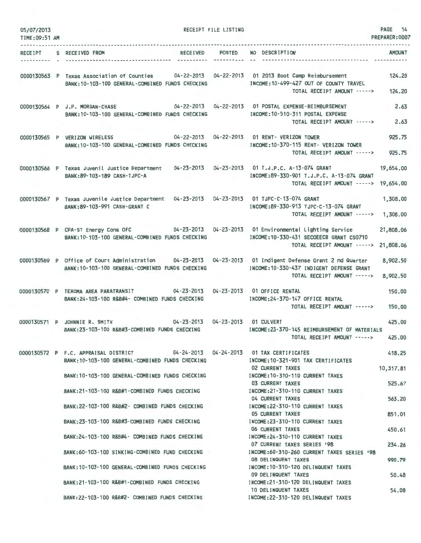| 05/07/2013<br>TIME: 09:51 AM |                                                                                                                                                 | RECEIPT FILE LISTING |                                                                                         | 14<br>PAGE<br>PREPARER: 0007 |
|------------------------------|-------------------------------------------------------------------------------------------------------------------------------------------------|----------------------|-----------------------------------------------------------------------------------------|------------------------------|
| RECEIPT                      | <b>RECEIVED</b><br>S RECEIVED FROM                                                                                                              | <b>POSTED</b>        | NO DESCRIPTION                                                                          | <b>AMOUNT</b>                |
|                              | ---------------------                                                                                                                           | ----------           | --------------------------------                                                        |                              |
|                              | 0000130563 P Texas Association of Counties 04-22-2013 04-22-2013 01 2013 Boot Camp Reimbursement                                                |                      |                                                                                         | 124.20                       |
|                              | BANK: 10-103-100 GENERAL-COMBINED FUNDS CHECKING                                                                                                |                      | INCOME: 10-499-427 OUT OF COUNTY TRAVEL<br>TOTAL RECEIPT AMOUNT ----->                  | 124.20                       |
|                              | $04 - 22 - 2013$<br>0000130564 P J.P. MORGAN-CHASE                                                                                              | 04-22-2013           | 01 POSTAL EXPENSE-REIMBURSEMENT                                                         | 2.63                         |
|                              | BANK:10-103-100 GENERAL-COMBINED FUNDS CHECKING                                                                                                 |                      | INCOME: 10-510-311 POSTAL EXPENSE<br>TOTAL RECEIPT AMOUNT ----->                        | 2.63                         |
|                              |                                                                                                                                                 |                      | 04-22-2013  04-22-2013  01 RENT- VERIZON TOWER                                          | 925.75                       |
|                              | 0000130565 P VERIZON WIRELESS<br>BANK: 10-103-100 GENERAL-COMBINED FUNDS CHECKING                                                               |                      | INCOME:10-370-115 RENT- VERIZON TOWER                                                   |                              |
|                              |                                                                                                                                                 |                      | TOTAL RECEIPT AMOUNT ----->                                                             | 925.75                       |
|                              | 0000130566 P Texas Juvenil Justice Department<br>04-23-2013<br>BANK: 89-103-189 CASH-TJPC-A                                                     |                      | 04-23-2013 01 T.J.P.C. A-13-074 GRANT<br>INCOME:89-330-901 T.J.P.C. A-13-074 GRANT      | 19,654.00                    |
|                              |                                                                                                                                                 |                      | TOTAL RECEIPT AMOUNT ----->                                                             | 19,654.00                    |
|                              | 0000130567 P Texas Juvenile Justice Department<br>BANK:89-103-991 CASH-GRANT C                                                                  |                      | 04-23-2013  04-23-2013  01 TJPC-C-13-074 GRANT<br>INCOME:89-330-913 TJPC-C-13-074 GRANT | 1,308.00                     |
|                              |                                                                                                                                                 |                      | TOTAL RECEIPT AMOUNT ----->                                                             | 1,308.00                     |
|                              | 0000130568 P CPA-ST Energy Cons OFC 04-23-2013 04-23-2013 01 Environmental Lighting Service<br>BANK: 10-103-100 GENERAL-COMBINED FUNDS CHECKING |                      | INCOME: 10-330-431 SECOEECB GRANT CS0710                                                | 21,808.06                    |
|                              |                                                                                                                                                 |                      | TOTAL RECEIPT AMOUNT ----->                                                             | 21,808.06                    |
|                              | 0000130569 P Office of Court Administration 04-23-2013<br>BANK: 10-103-100 GENERAL-COMBINED FUNDS CHECKING                                      | $04 - 23 - 2013$     | 01 Indigent Defense Grant 2 nd Quarter<br>INCOME: 10-330-437 INDIGENT DEFENSE GRANT     | 8,902.50                     |
|                              |                                                                                                                                                 |                      | TOTAL RECEIPT AMOUNT ----->                                                             | 8,902.50                     |
|                              | $04 - 23 - 2013$<br>0000130570 P TEXOMA AREA PARATRANSIT<br>BANK: 24-103-100 R&B#4- COMBINED FUNDS CHECKING                                     | $04 - 23 - 2013$     | 01 OFFICE RENTAL<br>INCOME:24-370-147 OFFICE RENTAL                                     | 150.00                       |
|                              |                                                                                                                                                 |                      | TOTAL RECEIPT AMOUNT ----->                                                             | 150,00                       |
|                              | 04-23-2013 04-23-2013<br>0000130571 P JOHNNIE R. SMITH                                                                                          |                      | 01 CULVERT                                                                              | 425.00                       |
|                              | BANK:23-103-100 R&B#3-COMBINED FUNDS CHECKING                                                                                                   |                      | INCOME:23-370-145 REIMBURSEMENT OF MATERIALS<br>TOTAL RECEIPT AMOUNT ----->             | 425.00                       |
|                              | 0000130572 P F.C. APPRAISAL DISTRICT                                                                                                            |                      | 04-24-2013    04-24-2013    01 TAX CERTIFICATES<br>INCOME: 10-321-901 TAX CERTIFICATES  | 418.25                       |
|                              | BANK:10-103-100 GENERAL-COMBINED FUNDS CHECKING                                                                                                 |                      | <b>02 CURRENT TAXES</b>                                                                 | 10,317.81                    |
|                              | BANK: 10-103-100 GENERAL-COMBINED FUNDS CHECKING                                                                                                |                      | INCOME: 10-310-110 CURRENT TAXES<br><b>03 CURRENT TAXES</b>                             | 525.67                       |
|                              | BANK: 21-103-100 R&B#1-COMBINED FUNDS CHECKING                                                                                                  |                      | INCOME: 21-310-110 CURRENT TAXES<br>04 CURRENT TAXES                                    | 563.20                       |
|                              | BANK: 22-103-100 R&B#2- COMBINED FUNDS CHECKING                                                                                                 |                      | INCOME: 22-310-110 CURRENT TAXES<br><b>05 CURRENT TAXES</b>                             | 851.01                       |
|                              | BANK: 23-103-100 R&B#3-COMBINED FUNDS CHECKING                                                                                                  |                      | INCOME: 23-310-110 CURRENT TAXES<br><b>06 CURRENT TAXES</b>                             | 450.61                       |
|                              | BANK:24-103-100 R&B#4- COMBINED FUNDS CHECKING                                                                                                  |                      | INCOME: 24-310-110 CURRENT TAXES                                                        |                              |
|                              | BANK:60-103-100 SINKING-COMBINED FUND CHECKING                                                                                                  |                      | 07 CURRENT TAXES SERIES '98<br>INCOME:60-310-260 CURRENT TAXES SERIES '98               | 234.26                       |
|                              | BANK:10-103-100 GENERAL-COMBINED FUNDS CHECKING                                                                                                 |                      | <b>08 DELINQUENT TAXES</b><br>INCOME: 10-310-120 DELINQUENT TAXES                       | 990.79                       |
|                              | BANK:21-103-100 R&B#1-COMBINED FUNDS CHECKING                                                                                                   |                      | 09 DELINQUENT TAXES<br>INCOME:21-310-120 DELINQUENT TAXES                               | 50.48                        |
|                              | BANK: 22-103-100 R&B#2- COMBINED FUNDS CHECKING                                                                                                 |                      | 10 DELINQUENT TAXES<br>INCOME: 22-310-120 DELINQUENT TAXES                              | 54.08                        |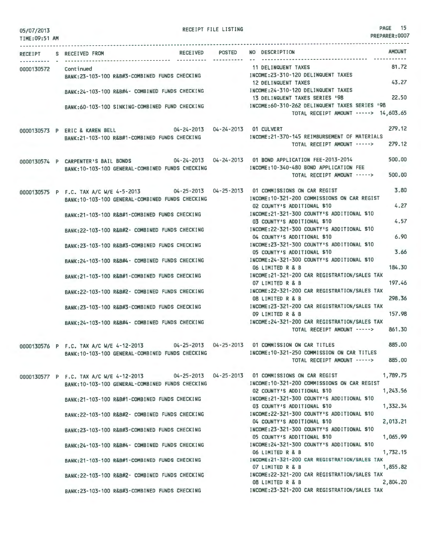| TIME: 09:51 AM       |                                                                                                                                               |  | PREPARER: UUU                                                                                                                                                         |                  |
|----------------------|-----------------------------------------------------------------------------------------------------------------------------------------------|--|-----------------------------------------------------------------------------------------------------------------------------------------------------------------------|------------------|
|                      | RECEIPT S RECEIVED FROM                                                                                                                       |  | RECEIVED POSTED NO DESCRIPTION                                                                                                                                        | <b>AMOUNT</b>    |
| 0000130572 Continued | BANK:23-103-100 R&B#3-COMBINED FUNDS CHECKING MANUSIC INCOME:23-310-120 DELINQUENT TAXES                                                      |  | 11 DELINQUENT TAXES                                                                                                                                                   | 81.72            |
|                      | BANK:24-103-100 R&B#4- COMBINED FUNDS CHECKING MODE:24-310-120 DELINQUENT TAXES                                                               |  | 12 DELINQUENT TAXES                                                                                                                                                   | 43.27            |
|                      |                                                                                                                                               |  | 13 DELINQUENT TAXES SERIES '98<br>BANK:60-103-100 SINKING-COMBINED FUND CHECKING MODE:60-310-262 DELINQUENT TAXES SERIES '98<br>TOTAL RECEIPT AMOUNT -----> 14,603.65 | 22.50            |
|                      |                                                                                                                                               |  |                                                                                                                                                                       |                  |
|                      | 0000130573 P ERIC & KAREN BELL 04-24-2013 04-24-2013 01 CULVERT<br>BANK:21-103-100 R&B#1-COMBINED FUNDS CHECKING                              |  | INCOME:21-370-145 REIMBURSEMENT OF MATERIALS<br>TOTAL RECEIPT AMOUNT ----->                                                                                           | 279.12<br>279.12 |
|                      | 0000130574 P CARPENTER'S BAIL BONDS<br>BANK: 10-103-100 GENERAL-COMBINED FUNDS CHECKING                                                       |  | 04-24-2013  04-24-2013  01 BOND APPLICATION FEE-2013-2014<br>INCOME:10-340-480 BOND APPLICATION FEE<br>TOTAL RECEIPT AMOUNT ----->                                    | 500,00<br>500,00 |
|                      | 0000130575 P F.C. TAX A/C W/E 4-5-2013 04-25-2013 04-25-2013 01 COMMISSIONS ON CAR REGIST<br>BANK: 10-103-100 GENERAL-COMBINED FUNDS CHECKING |  | INCOME: 10-321-200 COMMISSIONS ON CAR REGIST                                                                                                                          | 3.80<br>4.27     |
|                      | BANK:21-103-100 R&B#1-COMBINED FUNDS CHECKING                                                                                                 |  | 02 COUNTY'S ADDITIONAL \$10<br>INCOME: 21-321-300 COUNTY'S ADDITIONAL \$10<br>03 COUNTY'S ADDITIONAL \$10                                                             | 4.57             |
|                      | BANK:22-103-100 R&B#2- COMBINED FUNDS CHECKING                                                                                                |  | INCOME: 22-321-300 COUNTY'S ADDITIONAL \$10<br>04 COUNTY'S ADDITIONAL \$10                                                                                            | 6.90             |
|                      | BANK:23-103-100 R&B#3-COMBINED FUNDS CHECKING                                                                                                 |  | INCOME: 23-321-300 COUNTY'S ADDITIONAL \$10<br>05 COUNTY'S ADDITIONAL \$10                                                                                            | 3.66             |
|                      | BANK:24-103-100 R&B#4- COMBINED FUNDS CHECKING                                                                                                |  | INCOME: 24-321-300 COUNTY'S ADDITIONAL \$10<br>06 LIMITED R & B                                                                                                       | 184.30           |
|                      | BANK:21-103-100 R&B#1-COMBINED FUNDS CHECKING                                                                                                 |  | INCOME: 21-321-200 CAR REGISTRATION/SALES TAX<br>07 LIMITED R & B                                                                                                     | 197.46           |
|                      | BANK:22-103-100 R&B#2- COMBINED FUNDS CHECKING                                                                                                |  | INCOME:22-321-200 CAR REGISTRATION/SALES TAX<br>08 LIMITED R & B                                                                                                      | 298.36           |
|                      | BANK: 23-103-100 R&B#3-COMBINED FUNDS CHECKING                                                                                                |  | INCOME: 23-321-200 CAR REGISTRATION/SALES TAX<br>09 LIMITED R & B                                                                                                     | 157.98           |
|                      | BANK: 24-103-100 R&B#4- COMBINED FUNDS CHECKING                                                                                               |  | INCOME: 24-321-200 CAR REGISTRATION/SALES TAX<br>TOTAL RECEIPT AMOUNT ----->                                                                                          | 861.30           |
|                      | 0000130576 P F.C. TAX A/C W/E 4-12-2013<br>BANK: 10-103-100 GENERAL-COMBINED FUNDS CHECKING                                                   |  | 04-25-2013  04-25-2013  01 COMMISSION ON CAR TITLES<br>INCOME: 10-321-250 COMMISSION ON CAR TITLES<br>TOTAL RECEIPT AMOUNT ----->                                     | 885,00<br>885,00 |
|                      | 0000130577 P F.C. TAX A/C W/E 4-12-2013                                                                                                       |  | 04-25-2013  04-25-2013  01 COMMISSIONS ON CAR REGIST                                                                                                                  | 1,789.75         |
|                      | BANK: 10-103-100 GENERAL-COMBINED FUNDS CHECKING                                                                                              |  | INCOME: 10-321-200 COMMISSIONS ON CAR REGIST<br>02 COUNTY'S ADDITIONAL \$10                                                                                           | 1,243.56         |
|                      | BANK: 21-103-100 R&B#1-COMBINED FUNDS CHECKING                                                                                                |  | INCOME:21-321-300 COUNTY'S ADDITIONAL \$10<br>03 COUNTY'S ADDITIONAL \$10                                                                                             | 1,332.34         |
|                      | BANK: 22-103-100 R&B#2- COMBINED FUNDS CHECKING                                                                                               |  | INCOME: 22-321-300 COUNTY'S ADDITIONAL \$10<br>04 COUNTY'S ADDITIONAL \$10                                                                                            | 2,013.21         |
|                      | BANK: 23-103-100 R&B#3-COMBINED FUNDS CHECKING                                                                                                |  | INCOME: 23-321-300 COUNTY'S ADDITIONAL \$10<br>05 COUNTY'S ADDITIONAL \$10                                                                                            | 1,065.99         |
|                      | BANK:24-103-100 R&B#4- COMBINED FUNDS CHECKING                                                                                                |  | INCOME: 24-321-300 COUNTY'S ADDITIONAL \$10<br>06 LIMITED R & B                                                                                                       | 1,732.15         |
|                      | BANK:21-103-100 R&B#1-COMBINED FUNDS CHECKING                                                                                                 |  | INCOME:21-321-200 CAR REGISTRATION/SALES TAX<br>07 LIMITED R & B                                                                                                      | 1,855.82         |
|                      | BANK:22-103-100 R&B#2- COMBINED FUNDS CHECKING                                                                                                |  | INCOME:22-321-200 CAR REGISTRATION/SALES TAX<br>08 LIMITED R & B                                                                                                      | 2,804.20         |

BANK:23-103-100 R&B#3-COMBINED FUNDS CHECKING INCOME:23-321-200 CAR REGISTRATION/SALES TAX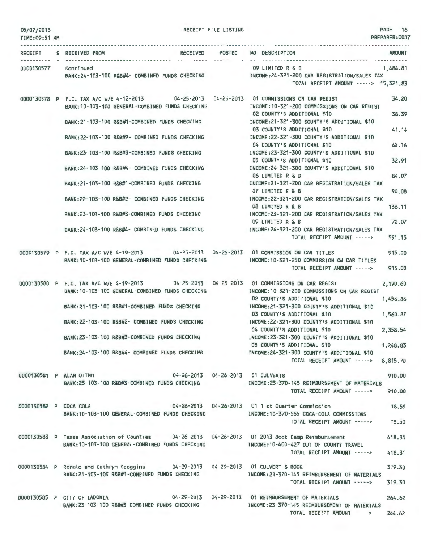| 05/07/2013<br>TIME: 09:51 AM |                                                                                                                                                | RECEIPT FILE LISTING |                                                                                                                   | PAGE 16<br>PREPARER:0007 |
|------------------------------|------------------------------------------------------------------------------------------------------------------------------------------------|----------------------|-------------------------------------------------------------------------------------------------------------------|--------------------------|
|                              | RECEIPT S RECEIVED FROM                                                                                                                        |                      | RECEIVED POSTED NO DESCRIPTION                                                                                    | <b>AMOUNT</b>            |
|                              | 0000130577 Continued<br>BANK:24-103-100 R&B#4- COMBINED FUNDS CHECKING [INCOME:24-321-200 CAR REGISTRATION/SALES TAX                           |                      | 09 LIMITED R & B 1,484.81<br>TOTAL RECEIPT AMOUNT -----> 15,321.83                                                |                          |
|                              | 0000130578 P F.C. TAX A/C W/E 4-12-2013 04-25-2013 04-25-2013 01 COMMISSIONS ON CAR REGIST<br>BANK: 10-103-100 GENERAL-COMBINED FUNDS CHECKING |                      | INCOME:10-321-200 COMMISSIONS ON CAR REGIST<br>02 COUNTY'S ADDITIONAL \$10                                        | 34.20<br>38.39           |
|                              | BANK:21-103-100 R&B#1-COMBINED FUNDS CHECKING MODE:21-321-321-300 COUNTY'S ADDITIONAL \$10                                                     |                      | 03 COUNTY'S ADDITIONAL \$10                                                                                       | 41.14                    |
|                              | BANK:22-103-100 R&B#2- COMBINED FUNDS CHECKING                                                                                                 |                      | INCOME: 22-321-300 COUNTY'S ADDITIONAL \$10<br>04 COUNTY'S ADDITIONAL \$10                                        | 62.16                    |
|                              | BANK:23-103-100 R&B#3-COMBINED FUNDS CHECKING                                                                                                  |                      | INCOME: 23-321-300 COUNTY'S ADDITIONAL \$10<br>05 COUNTY'S ADDITIONAL \$10                                        | 32.91                    |
|                              | BANK:24-103-100 R&B#4- COMBINED FUNDS CHECKING                                                                                                 |                      | INCOME: 24-321-300 COUNTY'S ADDITIONAL \$10<br>06 LIMITED R & B                                                   | 84.07                    |
|                              | BANK:21-103-100 R&B#1-COMBINED FUNDS CHECKING<br>BANK: 22-103-100 R&B#2- COMBINED FUNDS CHECKING                                               |                      | INCOME: 21-321-200 CAR REGISTRATION/SALES TAX<br>07 LIMITED R & B<br>INCOME:22-321-200 CAR REGISTRATION/SALES TAX | 90.08                    |
|                              | BANK:23-103-100 R&B#3-COMBINED FUNDS CHECKING                                                                                                  |                      | 08 LIMITED R & B<br>INCOME: 23-321-200 CAR REGISTRATION/SALES TAX                                                 | 136.11                   |
|                              | BANK:24-103-100 R&B#4- COMBINED FUNDS CHECKING [INCOME:24-321-200 CAR REGISTRATION/SALES TAX                                                   |                      | 09 LIMITED R & B                                                                                                  | 72.07                    |
|                              | 0000130579 P F.C. TAX A/C W/E 4-19-2013 04-25-2013 04-25-2013 01 COMMISSION ON CAR TITLES                                                      |                      | TOTAL RECEIPT AMOUNT ----->                                                                                       | 591.13                   |
|                              | BANK: 10-103-100 GENERAL-COMBINED FUNDS CHECKING                                                                                               |                      | INCOME:10-321-250 COMMISSION ON CAR TITLES<br>TOTAL RECEIPT AMOUNT ----->                                         | 915,00<br>915.00         |
|                              | 0000130580 P F.C. TAX A/C W/E 4-19-2013 04-25-2013 04-25-2013 01 COMMISSIONS ON CAR REGIST<br>BANK: 10-103-100 GENERAL-COMBINED FUNDS CHECKING |                      | INCOME: 10-321-200 COMMISSIONS ON CAR REGIST<br>02 COUNTY'S ADDITIONAL \$10                                       | 2,190.60<br>1,456.86     |
|                              | BANK:21-103-100 R&B#1-COMBINED FUNDS CHECKING                                                                                                  |                      | INCOME:21-321-300 COUNTY'S ADDITIONAL \$10<br>03 COUNTY'S ADDITIONAL \$10                                         | 1,560.87                 |
|                              | BANK: 22-103-100 R&B#2- COMBINED FUNDS CHECKING                                                                                                |                      | INCOME:22-321-300 COUNTY'S ADDITIONAL \$10<br>04 COUNTY'S ADDITIONAL \$10                                         | 2,358.54                 |
|                              | BANK:23-103-100 R&B#3-COMBINED FUNDS CHECKING                                                                                                  |                      | INCOME:23-321-300 COUNTY'S ADDITIONAL \$10<br>05 COUNTY'S ADDITIONAL \$10                                         | 1,248.83                 |
|                              | BANK:24-103-100 R&B#4- COMBINED FUNDS CHECKING [INCOME:24-321-300 COUNTY'S ADDITIONAL \$10                                                     |                      | TOTAL RECEIPT AMOUNT -----> 8,815.70                                                                              |                          |
|                              | 0000130581 P ALAN OTTMO 04-26-2013 04-26-2013 01 CULVERTS<br>BANK: 23-103-100 R&B#3-COMBINED FUNDS CHECKING                                    |                      | INCOME: 23-370-145 REIMBURSEMENT OF MATERIALS                                                                     | 910.00                   |
|                              |                                                                                                                                                |                      | TOTAL RECEIPT AMOUNT ----->                                                                                       | 910.00                   |
|                              | 04-26-2013  04-26-2013  01 1 st Quarter Commission<br>0000130582 P COCA COLA<br>BANK: 10-103-100 GENERAL-COMBINED FUNDS CHECKING               |                      | INCOME:10-370-565 COCA-COLA COMMISSIONS<br>TOTAL RECEIPT AMOUNT ----->                                            | 18.50<br>18,50           |
|                              | 0000130583 P Texas Association of Counties 04-26-2013 04-26-2013 01 2013 Boot Camp Reimbursement                                               |                      |                                                                                                                   | 418.31                   |
|                              | BANK: 10-103-100 GENERAL-COMBINED FUNDS CHECKING                                                                                               |                      | INCOME:10-400-427 OUT OF COUNTY TRAVEL<br>TOTAL RECEIPT AMOUNT ----->                                             | 418.31                   |
|                              | 0000130584 P Ronald and Kathryn Scoggins 04-29-2013 04-29-2013 01 CULVERT & ROCK<br>BANK:21-103-100 R&B#1-COMBINED FUNDS CHECKING              |                      | INCOME: 21-370-145 REIMBURSEMENT OF MATERIALS                                                                     | 319.30                   |
|                              |                                                                                                                                                |                      | TOTAL RECEIPT AMOUNT ----->                                                                                       | 319.30                   |
|                              | 0000130585 P CITY OF LADONIA<br>BANK:23-103-100 R&B#3-COMBINED FUNDS CHECKING                                                                  |                      | INCOME:23-370-145 REIMBURSEMENT OF MATERIALS<br>TOTAL RECEIPT AMOUNT ----->                                       | 264.62<br>264.62         |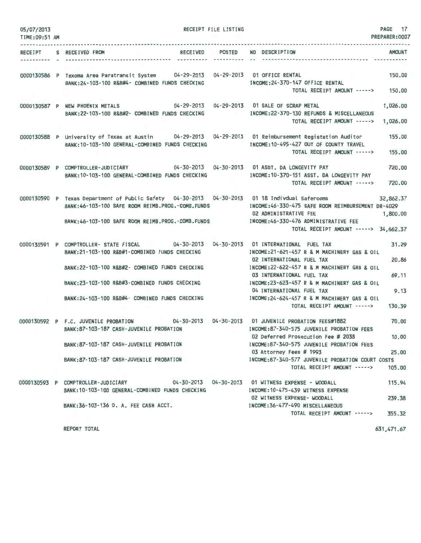| 05/07/2013<br>TIME: 09:51 AM |                                                                                                                                                                                                                                                                                                 | RECEIPT FILE LISTING | PAGE 17<br>PREPARER: 0007                                                                                                                                                                                                                                                                                                                                     |
|------------------------------|-------------------------------------------------------------------------------------------------------------------------------------------------------------------------------------------------------------------------------------------------------------------------------------------------|----------------------|---------------------------------------------------------------------------------------------------------------------------------------------------------------------------------------------------------------------------------------------------------------------------------------------------------------------------------------------------------------|
| <b>RECEIPT</b><br>.          | RECEIVED POSTED<br>S RECEIVED FROM                                                                                                                                                                                                                                                              | -----------          | NO DESCRIPTION<br><b>AMOUNT</b>                                                                                                                                                                                                                                                                                                                               |
|                              | 0000130586 P Texoma Area Paratransit System 04-29-2013 04-29-2013 01 OFFICE RENTAL<br>BANK:24-103-100 R&B#4- COMBINED FUNDS CHECKING                                                                                                                                                            |                      | 150.00<br>INCOME: 24-370-147 OFFICE RENTAL<br>TOTAL RECEIPT AMOUNT -----> 150.00                                                                                                                                                                                                                                                                              |
|                              | 0000130587 P NEW PHOENIX METALS<br>BANK:22-103-100 R&B#2- COMBINED FUNDS CHECKING                                                                                                                                                                                                               |                      | 04-29-2013  04-29-2013  01 SALE OF SCRAP METAL<br>1,026.00<br>INCOME: 22-370-130 REFUNDS & MISCELLANEOUS<br>TOTAL RECEIPT AMOUNT -----><br>1,026.00                                                                                                                                                                                                           |
|                              | 0000130588 P University of Texas at Austin 04-29-2013 04-29-2013 01 Reimbursement Registation Auditor<br>BANK: 10-103-100 GENERAL-COMBINED FUNDS CHECKING                                                                                                                                       |                      | 155.00<br>INCOME:10-495-427 OUT OF COUNTY TRAVEL<br>155,00<br>TOTAL RECEIPT AMOUNT ----->                                                                                                                                                                                                                                                                     |
|                              | 0000130589 P COMPTROLLER-JUDICIARY<br>BANK: 10-103-100 GENERAL-COMBINED FUNDS CHECKING                                                                                                                                                                                                          |                      | 720,00<br>INCOME: 10-370-151 ASST. DA LONGEVITY PAY<br>TOTAL RECEIPT AMOUNT -----><br>720.00                                                                                                                                                                                                                                                                  |
|                              | 0000130590 P Texas Department of Public Safety 04-30-2013 04-30-2013 01 18 Indivdual Saferooms<br>BANK: 46-103-100 SAFE ROOM REIMB.PROG.-COMB.FUNDS<br>BANK:46-103-100 SAFE ROOM REIMB.PROG.-COMB.FUNDS                                                                                         |                      | 32,862.37<br>INCOME: 46-330-475 SAFE ROOM REIMBURSEMENT DR-4029<br>02 ADMINISTRATIVE FEE<br>1,800.00<br>INCOME:46-330-476 ADMINISTRATIVE FEE<br>TOTAL RECEIPT AMOUNT -----> 34,662.37                                                                                                                                                                         |
|                              | 0000130591 P COMPTROLLER- STATE FISCAL 04-30-2013 04-30-2013 01 INTERNATIONAL FUEL TAX<br>BANK: 21-103-100 R&B#1-COMBINED FUNDS CHECKING<br>BANK: 22-103-100 R&B#2- COMBINED FUNDS CHECKING<br>BANK:23-103-100 R&B#3-COMBINED FUNDS CHECKING<br>BANK: 24-103-100 R&B#4- COMBINED FUNDS CHECKING |                      | 31.29<br>INCOME: 21-621-457 R & M MACHINERY GAS & OIL<br>20.86<br>02 INTERNATIONAL FUEL TAX<br>INCOME:22-622-457 R & M MACHINERY GAS & OIL<br>69.11<br>03 INTERNATIONAL FUEL TAX<br>INCOME:23-623-457 R & M MACHINERY GAS & OIL<br>9.13<br>04 INTERNATIONAL FUEL TAX<br>INCOME: 24-624-457 R & M MACHINERY GAS & OIL<br>TOTAL RECEIPT AMOUNT -----><br>130.39 |
|                              | 0000130592 P F.C. JUVENILE PROBATION 04-30-2013 04-30-2013 01 JUVENILE PROBATION FEES#1882<br>BANK:87-103-187 CASH-JUVENILE PROBATION<br>BANK: 87-103-187 CASH-JUVENILE PROBATION<br>BANK: 87-103-187 CASH-JUVENILE PROBATION                                                                   |                      | 70.00<br>INCOME:87-340-575 JUVENILE PROBATION FEES<br>02 Deferred Prosecution Fee # 2038<br>10.00<br>INCOME:87-340-575 JUVENILE PROBATION FEES<br>03 Attorney Fees # 1993<br>25.00<br>INCOME:87-340-577 JUVENILE PROBATION COURT COSTS<br>105.00<br>TOTAL RECEIPT AMOUNT ----->                                                                               |
|                              | 0000130593 P COMPTROLLER-JUDICIARY<br>BANK: 10-103-100 GENERAL-COMBINED FUNDS CHECKING<br>BANK: 36-103-136 D. A. FEE CASH ACCT.                                                                                                                                                                 |                      | 115.94<br>04-30-2013  04-30-2013  01 WITNESS EXPENSE - WOODALL<br>INCOME: 10-475-439 WITNESS EXPENSE<br>02 WITNESS EXPENSE- WOODALL<br>239.38<br>INCOME: 36-477-490 MISCELLANEOUS<br>TOTAL RECEIPT AMOUNT -----><br>355.32                                                                                                                                    |
|                              |                                                                                                                                                                                                                                                                                                 |                      |                                                                                                                                                                                                                                                                                                                                                               |

REPORT TOTAL

631,471.67